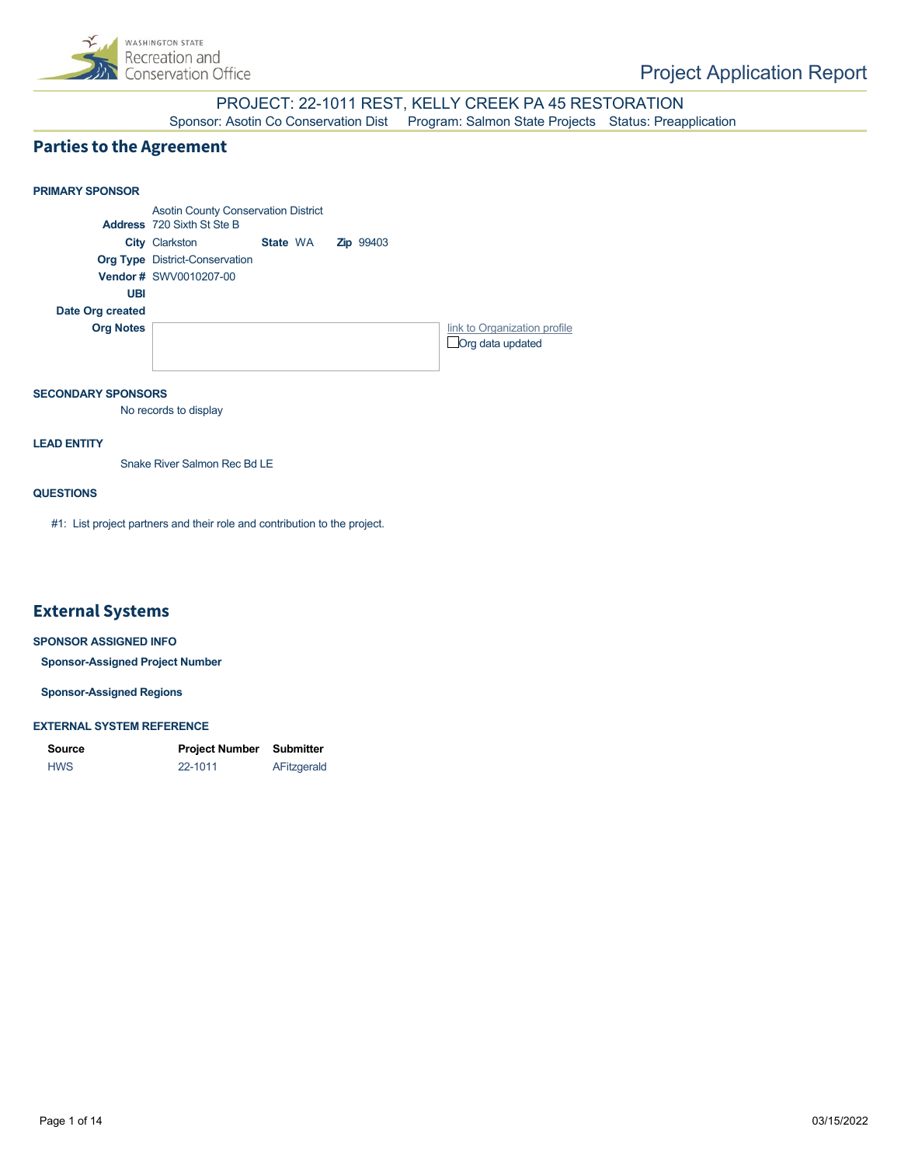

## PROJECT: 22-1011 REST, KELLY CREEK PA 45 RESTORATION

Sponsor: Asotin Co Conservation Dist Program: Salmon State Projects Status: Preapplication

## **Parties to the Agreement**

## **PRIMARY SPONSOR** Asotin County Conservation District **Address** 720 Sixth St Ste B **City** Clarkston **State** WA **Zip** 99403 **Org Type** District-Conservation **Vendor #** SWV0010207-00 **UBI Date Org created Org Notes [link to Organization profile](https://secure.rco.wa.gov/PRISM/Sponsor/My/Organization/Index/1109) Org data updated** State WA

## **SECONDARY SPONSORS**

No records to display

## **LEAD ENTITY**

Snake River Salmon Rec Bd LE

## **QUESTIONS**

#1: List project partners and their role and contribution to the project.

## **External Systems**

#### **SPONSOR ASSIGNED INFO**

**Sponsor-Assigned Project Number**

## **Sponsor-Assigned Regions**

#### **EXTERNAL SYSTEM REFERENCE**

| Source     | <b>Project Number</b> | Submitter   |
|------------|-----------------------|-------------|
| <b>HWS</b> | 22-1011               | AFitzgerald |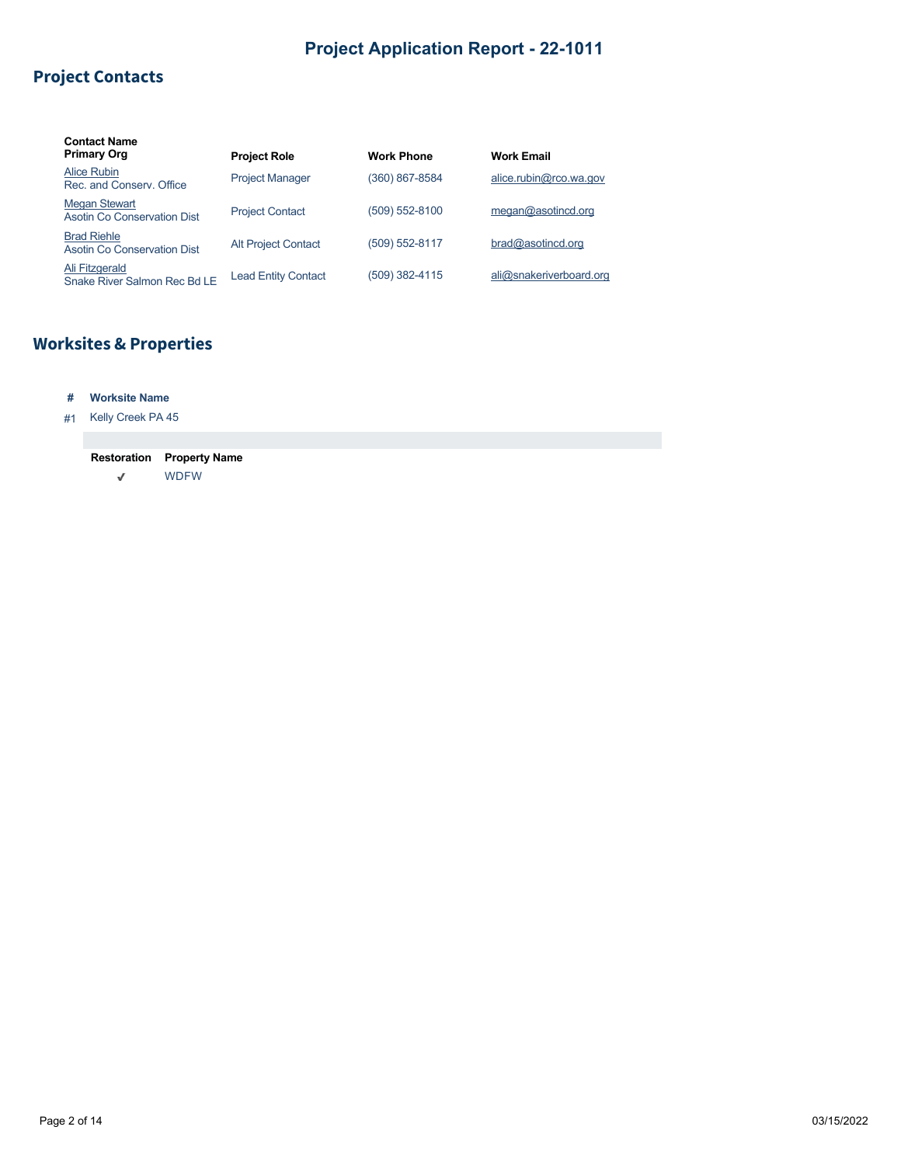# **Project Contacts**

| <b>Contact Name</b><br><b>Primary Org</b>           | <b>Project Role</b>        | <b>Work Phone</b> | <b>Work Email</b>       |
|-----------------------------------------------------|----------------------------|-------------------|-------------------------|
| Alice Rubin<br>Rec. and Conserv. Office             | <b>Project Manager</b>     | (360) 867-8584    | alice.rubin@rco.wa.gov  |
| <b>Megan Stewart</b><br>Asotin Co Conservation Dist | <b>Project Contact</b>     | (509) 552-8100    | meqan@asotincd.org      |
| <b>Brad Riehle</b><br>Asotin Co Conservation Dist   | <b>Alt Project Contact</b> | (509) 552-8117    | bra@asotincd.org        |
| Ali Fitzgerald<br>Snake River Salmon Rec Bd LE      | <b>Lead Entity Contact</b> | (509) 382-4115    | ali@snakeriverboard.org |

# **Worksites & Properties**

## **# Worksite Name**

## #1 Kelly Creek PA 45

#### **Restoration Property Name**  $\checkmark$ WDFW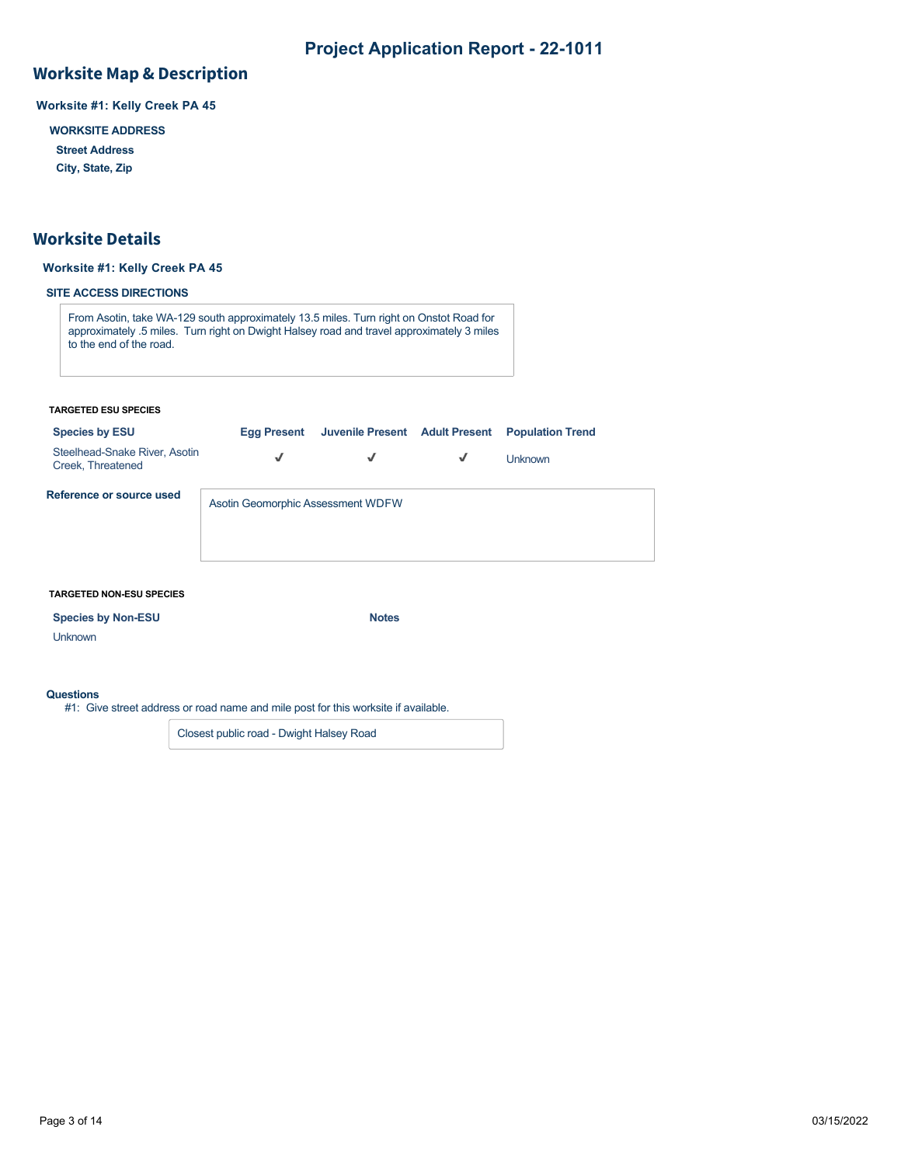# **Worksite Map & Description**

**Worksite #1: Kelly Creek PA 45**

**WORKSITE ADDRESS**

**Street Address**

**City, State, Zip**

## **Worksite Details**

## **Worksite #1: Kelly Creek PA 45**

## **SITE ACCESS DIRECTIONS**

From Asotin, take WA-129 south approximately 13.5 miles. Turn right on Onstot Road for approximately .5 miles. Turn right on Dwight Halsey road and travel approximately 3 miles to the end of the road.

#### **TARGETED ESU SPECIES**

| <b>Species by ESU</b>                              | Egg Present                       |   |   | Juvenile Present Adult Present Population Trend |
|----------------------------------------------------|-----------------------------------|---|---|-------------------------------------------------|
| Steelhead-Snake River, Asotin<br>Creek, Threatened | √                                 | √ | √ | <b>Unknown</b>                                  |
| Reference or source used                           | Asotin Geomorphic Assessment WDFW |   |   |                                                 |

#### **TARGETED NON-ESU SPECIES**

## **Species by Non-ESU** Notes

Unknown

## **Questions**

#1: Give street address or road name and mile post for this worksite if available.

Closest public road - Dwight Halsey Road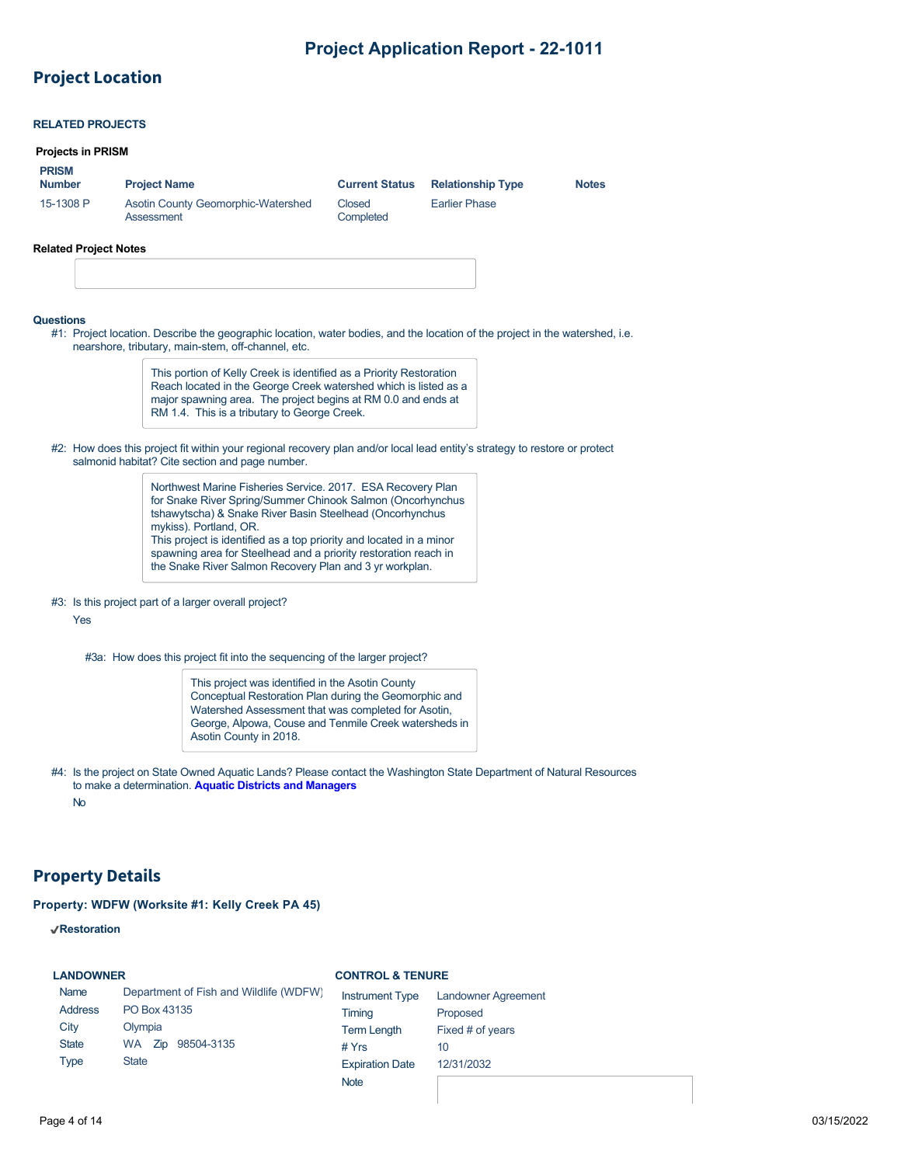## **Project Location**

## **RELATED PROJECTS**

#### **Projects in PRISM**

| <b>PRISM</b><br><b>Number</b> | <b>Project Name</b>                              | <b>Current Status</b> | <b>Relationship Type</b> | <b>Notes</b> |
|-------------------------------|--------------------------------------------------|-----------------------|--------------------------|--------------|
| 15-1308 P                     | Asotin County Geomorphic-Watershed<br>Assessment | Closed<br>Completed   | <b>Earlier Phase</b>     |              |

#### **Related Project Notes**

#### **Questions**

#1: Project location. Describe the geographic location, water bodies, and the location of the project in the watershed, i.e. nearshore, tributary, main-stem, off-channel, etc.

> This portion of Kelly Creek is identified as a Priority Restoration Reach located in the George Creek watershed which is listed as a major spawning area. The project begins at RM 0.0 and ends at RM 1.4. This is a tributary to George Creek.

#2: How does this project fit within your regional recovery plan and/or local lead entity's strategy to restore or protect salmonid habitat? Cite section and page number.

> Northwest Marine Fisheries Service. 2017. ESA Recovery Plan for Snake River Spring/Summer Chinook Salmon (Oncorhynchus tshawytscha) & Snake River Basin Steelhead (Oncorhynchus mykiss). Portland, OR. This project is identified as a top priority and located in a minor spawning area for Steelhead and a priority restoration reach in the Snake River Salmon Recovery Plan and 3 yr workplan.

# #3: Is this project part of a larger overall project?

Yes

#3a: How does this project fit into the sequencing of the larger project?

This project was identified in the Asotin County Conceptual Restoration Plan during the Geomorphic and Watershed Assessment that was completed for Asotin, George, Alpowa, Couse and Tenmile Creek watersheds in Asotin County in 2018.

#4: Is the project on State Owned Aquatic Lands? Please contact the Washington State Department of Natural Resources to make a determination. **[Aquatic Districts and Managers](https://www.dnr.wa.gov/programs-and-services/aquatics/aquatic-districts-and-land-managers-map)** No

## **Property Details**

## **Property: WDFW (Worksite #1: Kelly Creek PA 45)**

**Restoration**

| <b>LANDOWNER</b> |  |
|------------------|--|
|------------------|--|

## **CONTROL & TENURE**

| Name         | Department of Fish and Wildlife (WDFW) | <b>Instrument Type</b> | <b>Landowner Agreement</b> |
|--------------|----------------------------------------|------------------------|----------------------------|
| Address      | PO Box 43135                           | Timing                 | Proposed                   |
| City         | Olympia                                | <b>Term Length</b>     | Fixed # of years           |
| <b>State</b> | 98504-3135<br>WA Zip                   | # $Yrs$                | 10                         |
| <b>Type</b>  | <b>State</b>                           | <b>Expiration Date</b> | 12/31/2032                 |
|              |                                        | <b>Note</b>            |                            |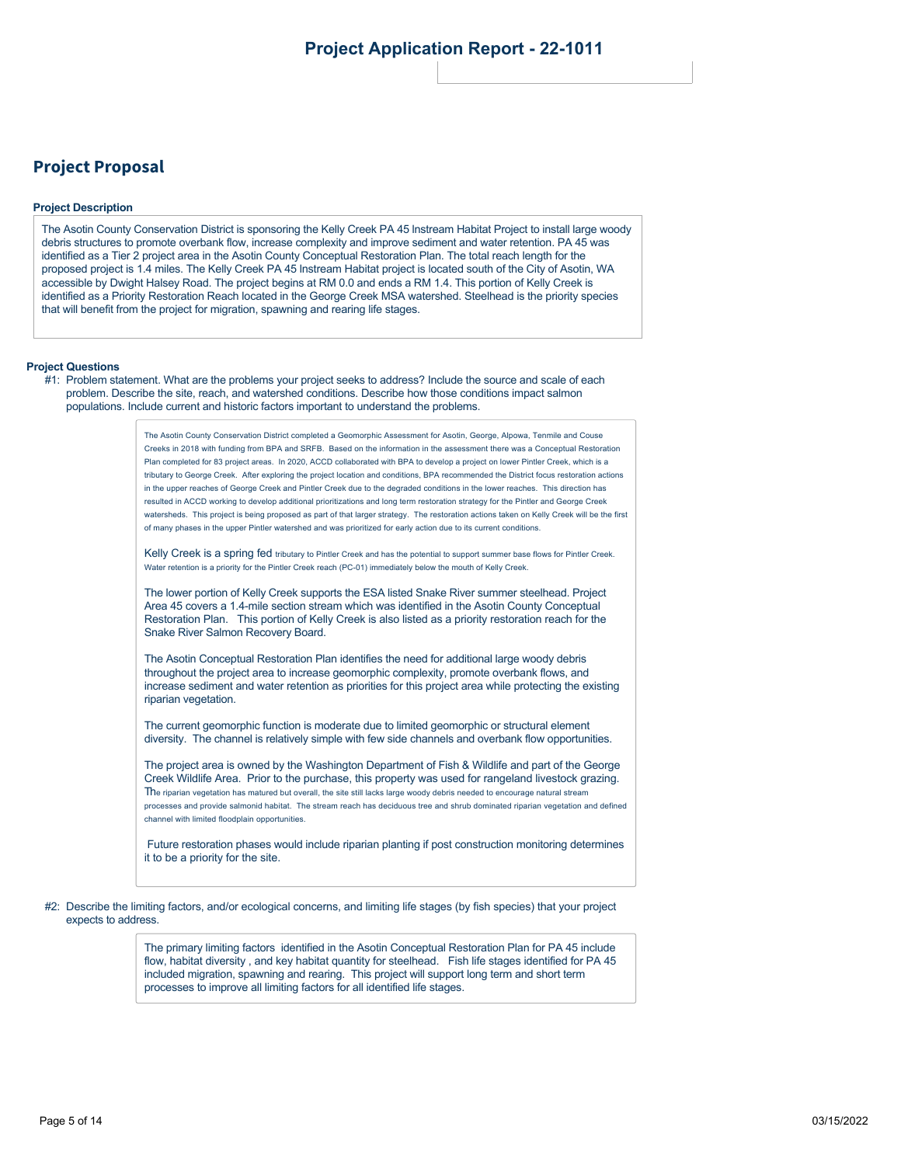## **Project Proposal**

#### **Project Description**

The Asotin County Conservation District is sponsoring the Kelly Creek PA 45 lnstream Habitat Project to install large woody debris structures to promote overbank flow, increase complexity and improve sediment and water retention. PA 45 was identified as a Tier 2 project area in the Asotin County Conceptual Restoration Plan. The total reach length for the proposed project is 1.4 miles. The Kelly Creek PA 45 lnstream Habitat project is located south of the City of Asotin, WA accessible by Dwight Halsey Road. The project begins at RM 0.0 and ends a RM 1.4. This portion of Kelly Creek is identified as a Priority Restoration Reach located in the George Creek MSA watershed. Steelhead is the priority species that will benefit from the project for migration, spawning and rearing life stages.

#### **Project Questions**

#1: Problem statement. What are the problems your project seeks to address? Include the source and scale of each problem. Describe the site, reach, and watershed conditions. Describe how those conditions impact salmon populations. Include current and historic factors important to understand the problems.

> The Asotin County Conservation District completed a Geomorphic Assessment for Asotin, George, Alpowa, Tenmile and Couse Creeks in 2018 with funding from BPA and SRFB. Based on the information in the assessment there was a Conceptual Restoration Plan completed for 83 project areas. In 2020, ACCD collaborated with BPA to develop a project on lower Pintler Creek, which is a tributary to George Creek. After exploring the project location and conditions, BPA recommended the District focus restoration actions in the upper reaches of George Creek and Pintler Creek due to the degraded conditions in the lower reaches. This direction has resulted in ACCD working to develop additional prioritizations and long term restoration strategy for the Pintler and George Creek watersheds. This project is being proposed as part of that larger strategy. The restoration actions taken on Kelly Creek will be the first of many phases in the upper Pintler watershed and was prioritized for early action due to its current conditions.

Kelly Creek is a spring fed tributary to Pintler Creek and has the potential to support summer base flows for Pintler Creek. Water retention is a priority for the Pintler Creek reach (PC-01) immediately below the mouth of Kelly Creek.

The lower portion of Kelly Creek supports the ESA listed Snake River summer steelhead. Project Area 45 covers a 1.4-mile section stream which was identified in the Asotin County Conceptual Restoration Plan. This portion of Kelly Creek is also listed as a priority restoration reach for the Snake River Salmon Recovery Board.

The Asotin Conceptual Restoration Plan identifies the need for additional large woody debris throughout the project area to increase geomorphic complexity, promote overbank flows, and increase sediment and water retention as priorities for this project area while protecting the existing riparian vegetation.

The current geomorphic function is moderate due to limited geomorphic or structural element diversity. The channel is relatively simple with few side channels and overbank flow opportunities.

The project area is owned by the Washington Department of Fish & Wildlife and part of the George Creek Wildlife Area. Prior to the purchase, this property was used for rangeland livestock grazing. The riparian vegetation has matured but overall, the site still lacks large woody debris needed to encourage natural stream processes and provide salmonid habitat. The stream reach has deciduous tree and shrub dominated riparian vegetation and defined channel with limited floodplain opportunities.

 Future restoration phases would include riparian planting if post construction monitoring determines it to be a priority for the site.

#2: Describe the limiting factors, and/or ecological concerns, and limiting life stages (by fish species) that your project expects to address.

> The primary limiting factors identified in the Asotin Conceptual Restoration Plan for PA 45 include flow, habitat diversity , and key habitat quantity for steelhead. Fish life stages identified for PA 45 included migration, spawning and rearing. This project will support long term and short term processes to improve all limiting factors for all identified life stages.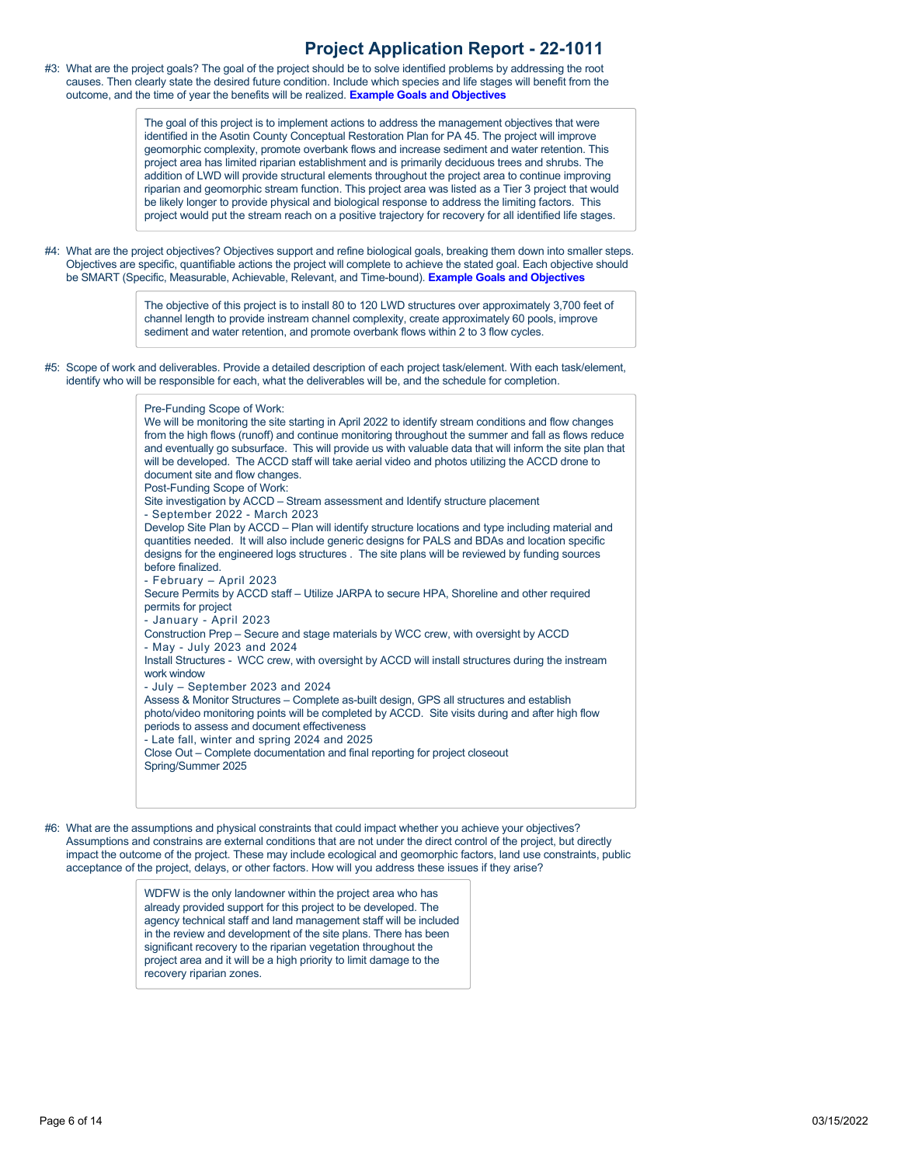#3: What are the project goals? The goal of the project should be to solve identified problems by addressing the root causes. Then clearly state the desired future condition. Include which species and life stages will benefit from the outcome, and the time of year the benefits will be realized. **[Example Goals and Objectives](https://rco.wa.gov/wp-content/uploads/2020/02/SRFB-Goals-and-Objectives-Examples.docx)**

> The goal of this project is to implement actions to address the management objectives that were identified in the Asotin County Conceptual Restoration Plan for PA 45. The project will improve geomorphic complexity, promote overbank flows and increase sediment and water retention. This project area has limited riparian establishment and is primarily deciduous trees and shrubs. The addition of LWD will provide structural elements throughout the project area to continue improving riparian and geomorphic stream function. This project area was listed as a Tier 3 project that would be likely longer to provide physical and biological response to address the limiting factors. This project would put the stream reach on a positive trajectory for recovery for all identified life stages.

#4: What are the project objectives? Objectives support and refine biological goals, breaking them down into smaller steps. Objectives are specific, quantifiable actions the project will complete to achieve the stated goal. Each objective should be SMART (Specific, Measurable, Achievable, Relevant, and Time-bound). **[Example Goals and Objectives](https://rco.wa.gov/wp-content/uploads/2020/02/SRFB-Goals-and-Objectives-Examples.docx)**

> The objective of this project is to install 80 to 120 LWD structures over approximately 3,700 feet of channel length to provide instream channel complexity, create approximately 60 pools, improve sediment and water retention, and promote overbank flows within 2 to 3 flow cycles.

#5: Scope of work and deliverables. Provide a detailed description of each project task/element. With each task/element, identify who will be responsible for each, what the deliverables will be, and the schedule for completion.

#### Pre-Funding Scope of Work: We will be monitoring the site starting in April 2022 to identify stream conditions and flow changes from the high flows (runoff) and continue monitoring throughout the summer and fall as flows reduce and eventually go subsurface. This will provide us with valuable data that will inform the site plan that will be developed. The ACCD staff will take aerial video and photos utilizing the ACCD drone to document site and flow changes. Post-Funding Scope of Work: Site investigation by ACCD – Stream assessment and Identify structure placement - September 2022 - March 2023 Develop Site Plan by ACCD – Plan will identify structure locations and type including material and quantities needed. It will also include generic designs for PALS and BDAs and location specific designs for the engineered logs structures . The site plans will be reviewed by funding sources before finalized. - February – April 2023 Secure Permits by ACCD staff – Utilize JARPA to secure HPA, Shoreline and other required permits for project - January - April 2023 Construction Prep – Secure and stage materials by WCC crew, with oversight by ACCD - May - July 2023 and 2024 Install Structures - WCC crew, with oversight by ACCD will install structures during the instream work window - July – September 2023 and 2024 Assess & Monitor Structures – Complete as-built design, GPS all structures and establish photo/video monitoring points will be completed by ACCD. Site visits during and after high flow periods to assess and document effectiveness - Late fall, winter and spring 2024 and 2025 Close Out – Complete documentation and final reporting for project closeout Spring/Summer 2025

#6: What are the assumptions and physical constraints that could impact whether you achieve your objectives? Assumptions and constrains are external conditions that are not under the direct control of the project, but directly impact the outcome of the project. These may include ecological and geomorphic factors, land use constraints, public acceptance of the project, delays, or other factors. How will you address these issues if they arise?

> WDFW is the only landowner within the project area who has already provided support for this project to be developed. The agency technical staff and land management staff will be included in the review and development of the site plans. There has been significant recovery to the riparian vegetation throughout the project area and it will be a high priority to limit damage to the recovery riparian zones.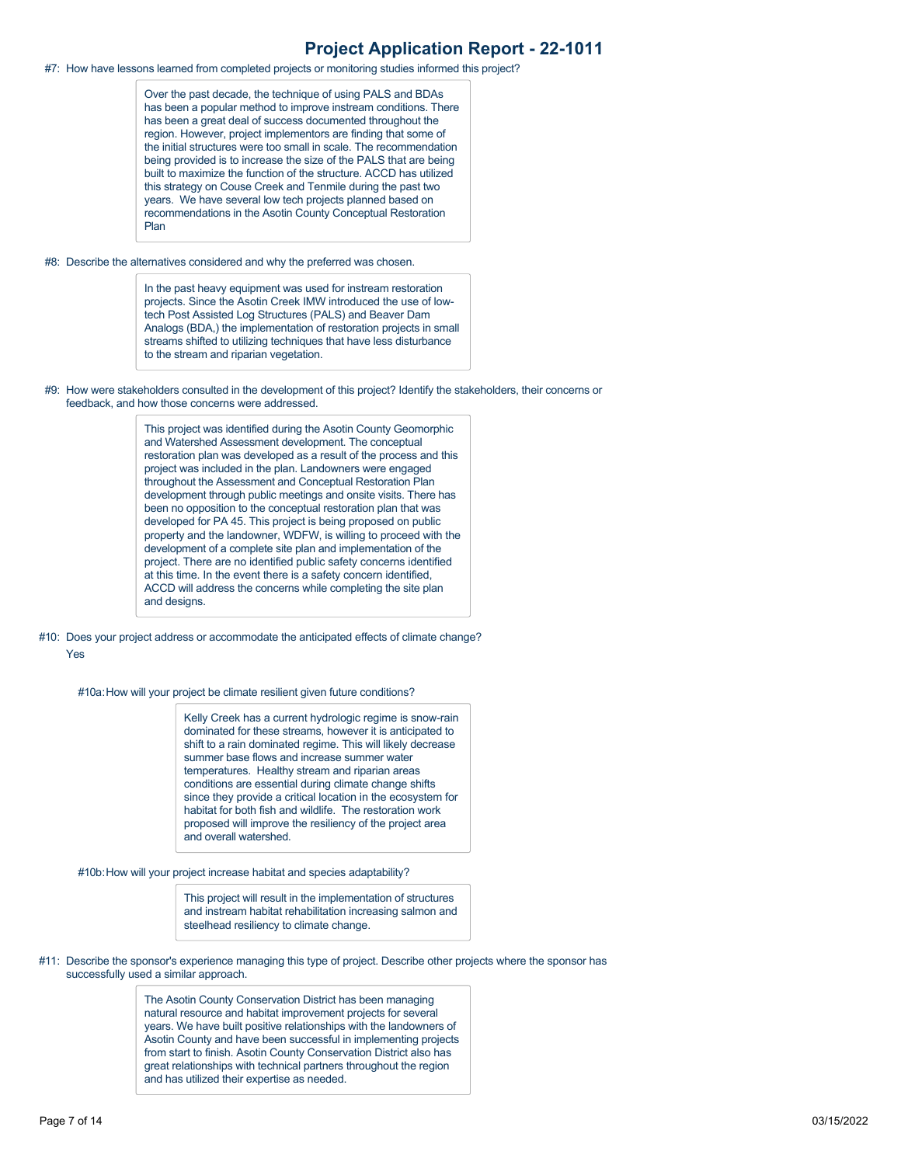#7: How have lessons learned from completed projects or monitoring studies informed this project?

Over the past decade, the technique of using PALS and BDAs has been a popular method to improve instream conditions. There has been a great deal of success documented throughout the region. However, project implementors are finding that some of the initial structures were too small in scale. The recommendation being provided is to increase the size of the PALS that are being built to maximize the function of the structure. ACCD has utilized this strategy on Couse Creek and Tenmile during the past two years. We have several low tech projects planned based on recommendations in the Asotin County Conceptual Restoration Plan

#### #8: Describe the alternatives considered and why the preferred was chosen.

In the past heavy equipment was used for instream restoration projects. Since the Asotin Creek IMW introduced the use of lowtech Post Assisted Log Structures (PALS) and Beaver Dam Analogs (BDA,) the implementation of restoration projects in small streams shifted to utilizing techniques that have less disturbance to the stream and riparian vegetation.

#9: How were stakeholders consulted in the development of this project? Identify the stakeholders, their concerns or feedback, and how those concerns were addressed.

> This project was identified during the Asotin County Geomorphic and Watershed Assessment development. The conceptual restoration plan was developed as a result of the process and this project was included in the plan. Landowners were engaged throughout the Assessment and Conceptual Restoration Plan development through public meetings and onsite visits. There has been no opposition to the conceptual restoration plan that was developed for PA 45. This project is being proposed on public property and the landowner, WDFW, is willing to proceed with the development of a complete site plan and implementation of the project. There are no identified public safety concerns identified at this time. In the event there is a safety concern identified, ACCD will address the concerns while completing the site plan and designs.

#10: Does your project address or accommodate the anticipated effects of climate change? Yes

#10a: How will your project be climate resilient given future conditions?

Kelly Creek has a current hydrologic regime is snow-rain dominated for these streams, however it is anticipated to shift to a rain dominated regime. This will likely decrease summer base flows and increase summer water temperatures. Healthy stream and riparian areas conditions are essential during climate change shifts since they provide a critical location in the ecosystem for habitat for both fish and wildlife. The restoration work proposed will improve the resiliency of the project area and overall watershed.

#10b:How will your project increase habitat and species adaptability?

This project will result in the implementation of structures and instream habitat rehabilitation increasing salmon and steelhead resiliency to climate change.

#11: Describe the sponsor's experience managing this type of project. Describe other projects where the sponsor has successfully used a similar approach.

> The Asotin County Conservation District has been managing natural resource and habitat improvement projects for several years. We have built positive relationships with the landowners of Asotin County and have been successful in implementing projects from start to finish. Asotin County Conservation District also has great relationships with technical partners throughout the region and has utilized their expertise as needed.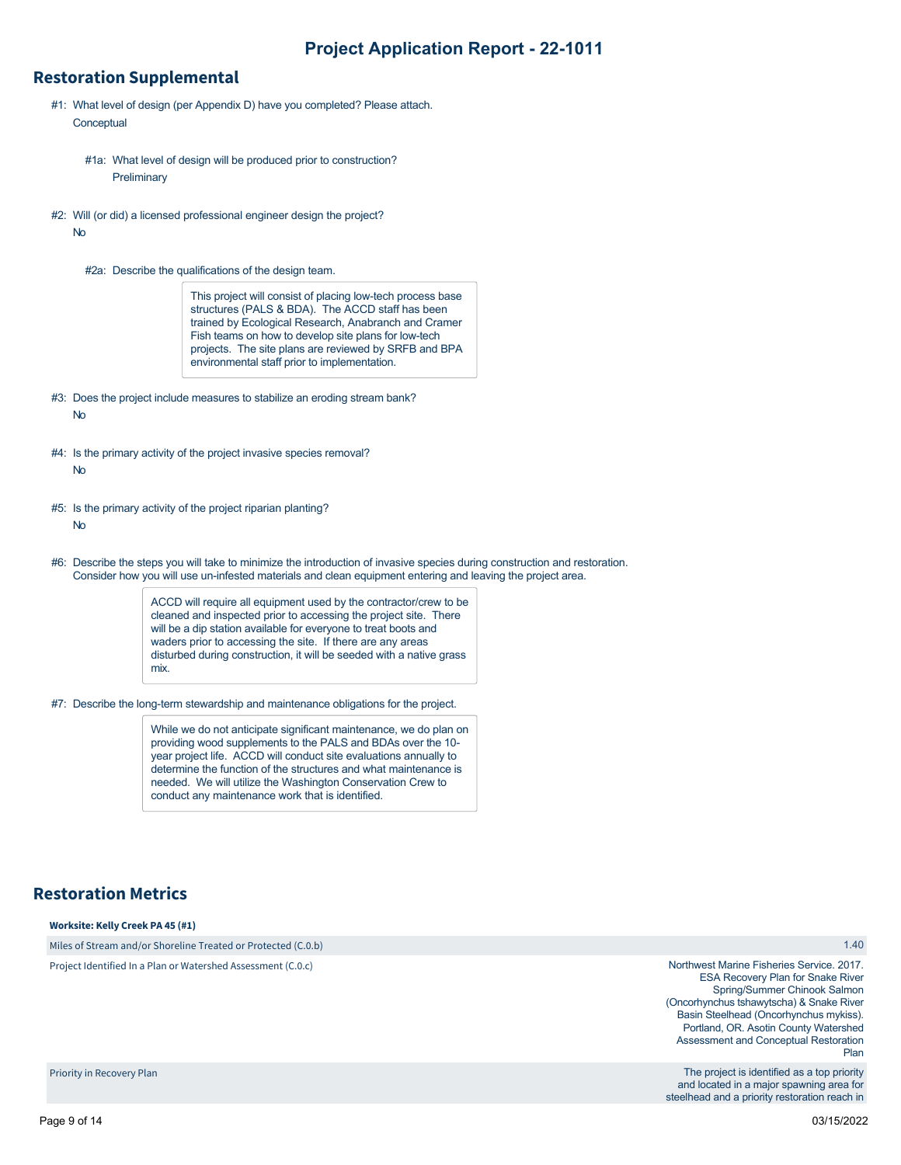## **Restoration Supplemental**

- #1: What level of design (per Appendix D) have you completed? Please attach. **Conceptual** 
	- #1a: What level of design will be produced prior to construction? **Preliminary**
- #2: Will (or did) a licensed professional engineer design the project? No
	- #2a: Describe the qualifications of the design team.

This project will consist of placing low-tech process base structures (PALS & BDA). The ACCD staff has been trained by Ecological Research, Anabranch and Cramer Fish teams on how to develop site plans for low-tech projects. The site plans are reviewed by SRFB and BPA environmental staff prior to implementation.

- #3: Does the project include measures to stabilize an eroding stream bank? No
- #4: Is the primary activity of the project invasive species removal?
	- No
- #5: Is the primary activity of the project riparian planting?

No

#6: Describe the steps you will take to minimize the introduction of invasive species during construction and restoration. Consider how you will use un-infested materials and clean equipment entering and leaving the project area.

> ACCD will require all equipment used by the contractor/crew to be cleaned and inspected prior to accessing the project site. There will be a dip station available for everyone to treat boots and waders prior to accessing the site. If there are any areas disturbed during construction, it will be seeded with a native grass mix.

#7: Describe the long-term stewardship and maintenance obligations for the project.

While we do not anticipate significant maintenance, we do plan on providing wood supplements to the PALS and BDAs over the 10 year project life. ACCD will conduct site evaluations annually to determine the function of the structures and what maintenance is needed. We will utilize the Washington Conservation Crew to conduct any maintenance work that is identified.

# **Restoration Metrics**

#### **Worksite: Kelly Creek PA 45 (#1)**

Miles of Stream and/or Shoreline Treated or Protected (C.0.b)

Project Identified In a Plan or Watershed Assessment (C.0.c)

#### 1.40

Northwest Marine Fisheries Service. 2017. ESA Recovery Plan for Snake River Spring/Summer Chinook Salmon (Oncorhynchus tshawytscha) & Snake River Basin Steelhead (Oncorhynchus mykiss). Portland, OR. Asotin County Watershed Assessment and Conceptual Restoration Plan

The project is identified as a top priority and located in a major spawning area for steelhead and a priority restoration reach in

Priority in Recovery Plan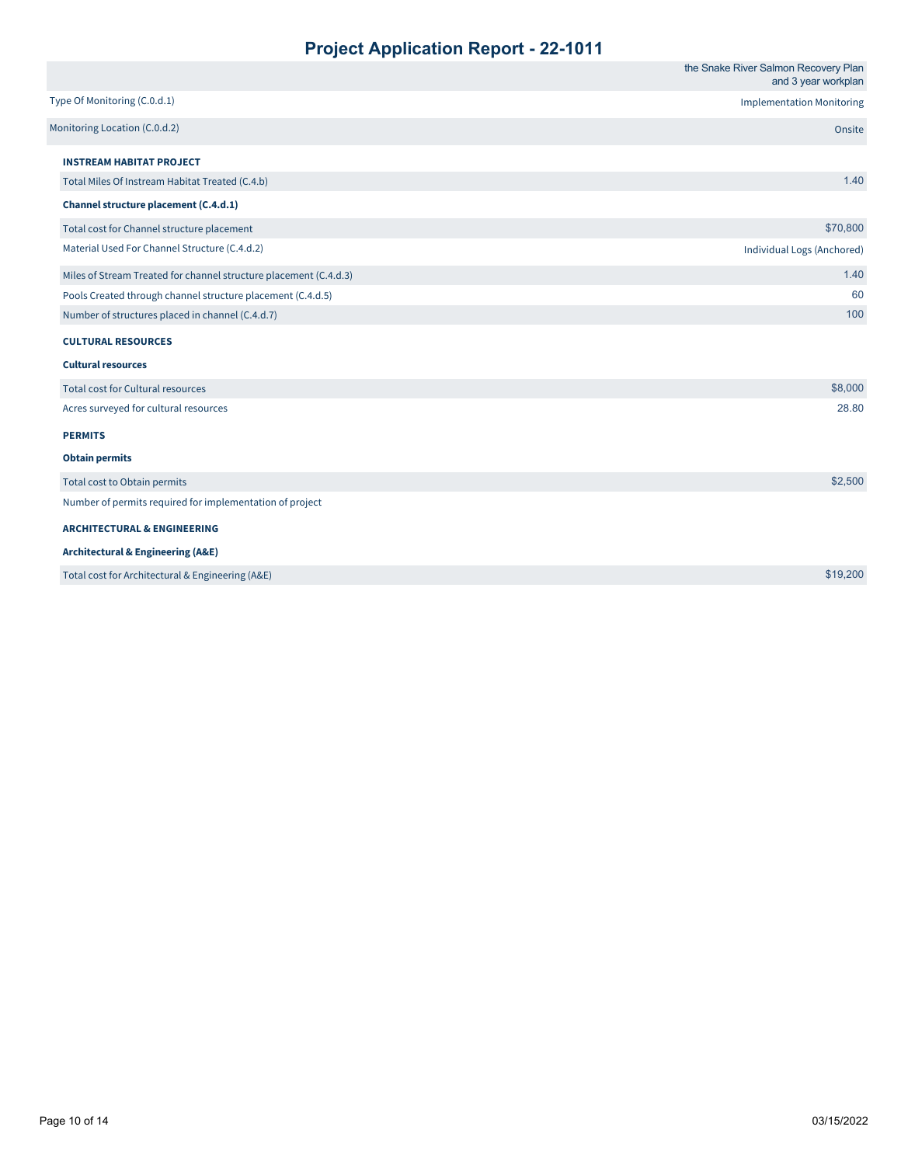|                                                                   | the Snake River Salmon Recovery Plan<br>and 3 year workplan |
|-------------------------------------------------------------------|-------------------------------------------------------------|
| Type Of Monitoring (C.0.d.1)                                      | <b>Implementation Monitoring</b>                            |
| Monitoring Location (C.0.d.2)                                     | Onsite                                                      |
| <b>INSTREAM HABITAT PROJECT</b>                                   |                                                             |
| Total Miles Of Instream Habitat Treated (C.4.b)                   | 1.40                                                        |
| Channel structure placement (C.4.d.1)                             |                                                             |
| Total cost for Channel structure placement                        | \$70,800                                                    |
| Material Used For Channel Structure (C.4.d.2)                     | Individual Logs (Anchored)                                  |
| Miles of Stream Treated for channel structure placement (C.4.d.3) | 1.40                                                        |
| Pools Created through channel structure placement (C.4.d.5)       | 60                                                          |
| Number of structures placed in channel (C.4.d.7)                  | 100                                                         |
| <b>CULTURAL RESOURCES</b>                                         |                                                             |
| <b>Cultural resources</b>                                         |                                                             |
| Total cost for Cultural resources                                 | \$8,000                                                     |
| Acres surveyed for cultural resources                             | 28.80                                                       |
| <b>PERMITS</b>                                                    |                                                             |
| <b>Obtain permits</b>                                             |                                                             |
| Total cost to Obtain permits                                      | \$2,500                                                     |
| Number of permits required for implementation of project          |                                                             |
| <b>ARCHITECTURAL &amp; ENGINEERING</b>                            |                                                             |
| <b>Architectural &amp; Engineering (A&amp;E)</b>                  |                                                             |
| Total cost for Architectural & Engineering (A&E)                  | \$19,200                                                    |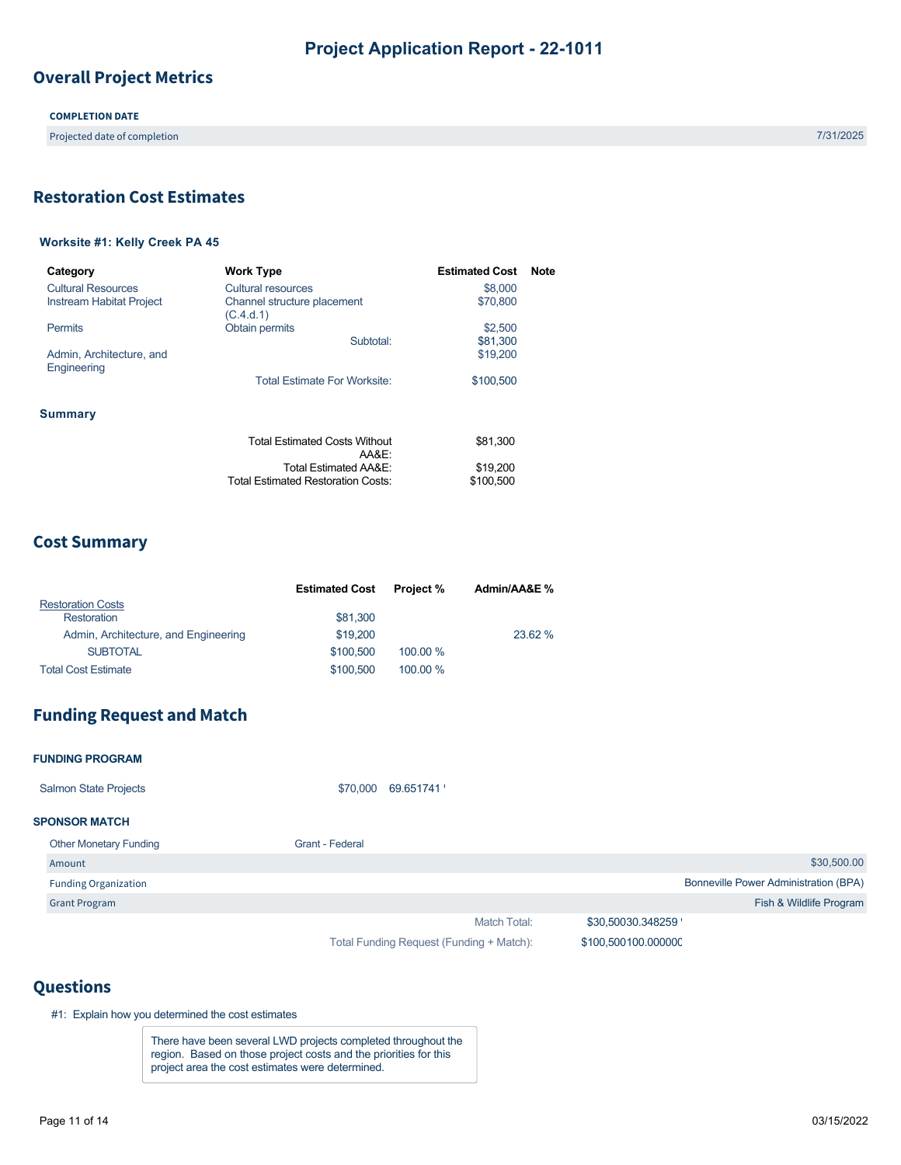# **Overall Project Metrics**

## **COMPLETION DATE**

Projected date of completion 7/31/2025

# <span id="page-9-0"></span>**Restoration Cost Estimates**

## **Worksite #1: Kelly Creek PA 45**

| Category                                | <b>Work Type</b>                                                   | <b>Estimated Cost</b> | <b>Note</b> |
|-----------------------------------------|--------------------------------------------------------------------|-----------------------|-------------|
| Cultural Resources                      | Cultural resources                                                 | \$8,000               |             |
| Instream Habitat Project                | Channel structure placement<br>(C.4.d.1)                           | \$70,800              |             |
| <b>Permits</b>                          | Obtain permits                                                     | \$2,500               |             |
|                                         | Subtotal:                                                          | \$81,300              |             |
| Admin, Architecture, and<br>Engineering |                                                                    | \$19,200              |             |
|                                         | <b>Total Estimate For Worksite:</b>                                | \$100.500             |             |
| <b>Summary</b>                          |                                                                    |                       |             |
|                                         | <b>Total Estimated Costs Without</b><br>AA&E:                      | \$81.300              |             |
|                                         | Total Estimated AA&E:<br><b>Total Estimated Restoration Costs:</b> | \$19,200<br>\$100,500 |             |
|                                         |                                                                    |                       |             |

# **Cost Summary**

|                                      | <b>Estimated Cost</b> | <b>Project</b> % | Admin/AA&E % |
|--------------------------------------|-----------------------|------------------|--------------|
| <b>Restoration Costs</b>             |                       |                  |              |
| Restoration                          | \$81,300              |                  |              |
| Admin, Architecture, and Engineering | \$19,200              |                  | 23.62 %      |
| <b>SUBTOTAL</b>                      | \$100.500             | 100.00 %         |              |
| <b>Total Cost Estimate</b>           | \$100.500             | 100.00 %         |              |

# **Funding Request and Match**

| <b>FUNDING PROGRAM</b>        |                 |           |              |                   |                                              |
|-------------------------------|-----------------|-----------|--------------|-------------------|----------------------------------------------|
| <b>Salmon State Projects</b>  | \$70,000        | 69.651741 |              |                   |                                              |
| <b>SPONSOR MATCH</b>          |                 |           |              |                   |                                              |
| <b>Other Monetary Funding</b> | Grant - Federal |           |              |                   |                                              |
| Amount                        |                 |           |              |                   | \$30,500.00                                  |
| <b>Funding Organization</b>   |                 |           |              |                   | <b>Bonneville Power Administration (BPA)</b> |
| <b>Grant Program</b>          |                 |           |              |                   | Fish & Wildlife Program                      |
|                               |                 |           | Match Total: | \$30,50030.348259 |                                              |

Total Funding Request (Funding + Match):

\$100,500100.00000C

## **Questions**

#1: Explain how you determined the cost estimates

There have been several LWD projects completed throughout the region. Based on those project costs and the priorities for this project area the cost estimates were determined.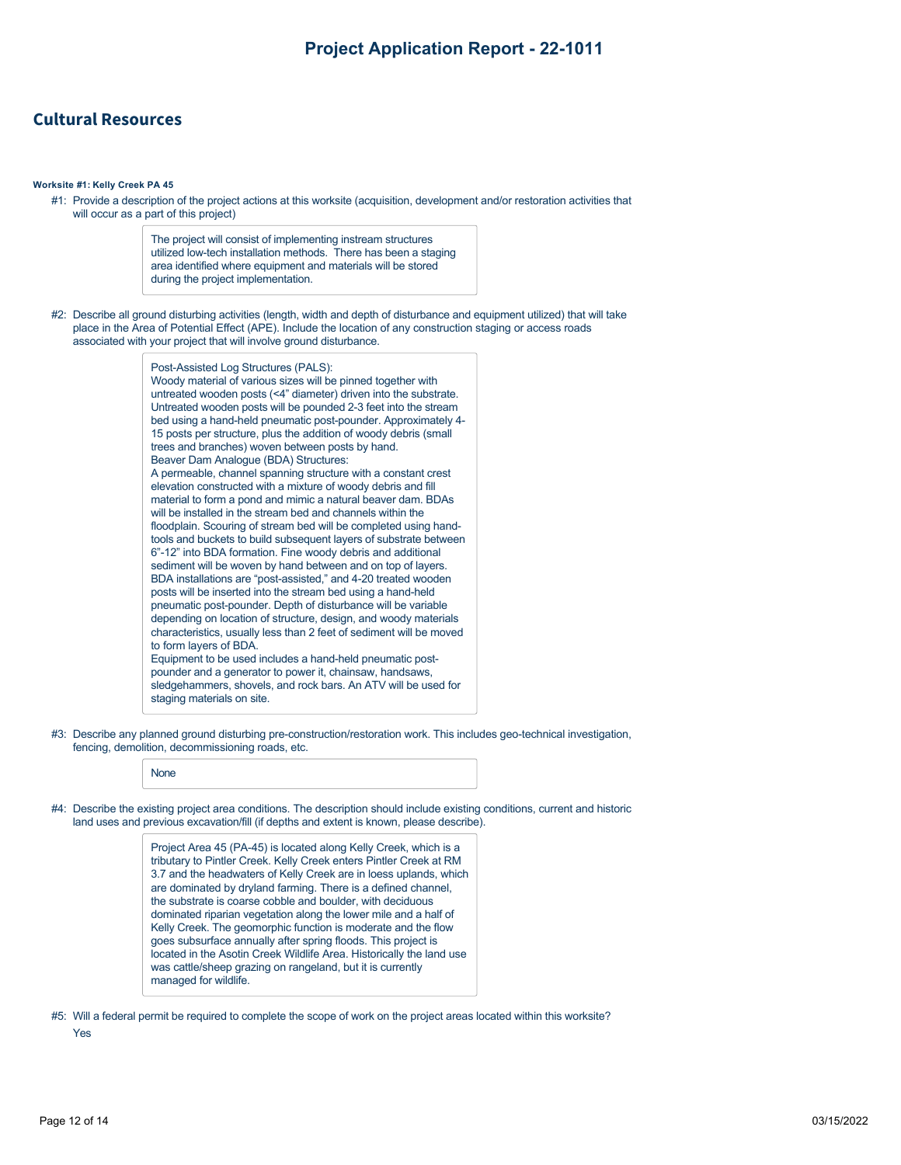## **Cultural Resources**

#### **Worksite #1: Kelly Creek PA 45**

#1: Provide a description of the project actions at this worksite (acquisition, development and/or restoration activities that will occur as a part of this project)

> The project will consist of implementing instream structures utilized low-tech installation methods. There has been a staging area identified where equipment and materials will be stored during the project implementation.

#2: Describe all ground disturbing activities (length, width and depth of disturbance and equipment utilized) that will take place in the Area of Potential Effect (APE). Include the location of any construction staging or access roads associated with your project that will involve ground disturbance.

| Post-Assisted Log Structures (PALS):                                |
|---------------------------------------------------------------------|
| Woody material of various sizes will be pinned together with        |
| untreated wooden posts (<4" diameter) driven into the substrate.    |
| Untreated wooden posts will be pounded 2-3 feet into the stream     |
| bed using a hand-held pneumatic post-pounder. Approximately 4-      |
| 15 posts per structure, plus the addition of woody debris (small    |
| trees and branches) woven between posts by hand.                    |
| Beaver Dam Analogue (BDA) Structures:                               |
| A permeable, channel spanning structure with a constant crest       |
| elevation constructed with a mixture of woody debris and fill       |
| material to form a pond and mimic a natural beaver dam. BDAs        |
| will be installed in the stream bed and channels within the         |
| floodplain. Scouring of stream bed will be completed using hand-    |
| tools and buckets to build subsequent layers of substrate between   |
| 6"-12" into BDA formation. Fine woody debris and additional         |
| sediment will be woven by hand between and on top of layers.        |
| BDA installations are "post-assisted," and 4-20 treated wooden      |
| posts will be inserted into the stream bed using a hand-held        |
| pneumatic post-pounder. Depth of disturbance will be variable       |
| depending on location of structure, design, and woody materials     |
| characteristics, usually less than 2 feet of sediment will be moved |
| to form layers of BDA.                                              |
| Equipment to be used includes a hand-held pneumatic post-           |
| pounder and a generator to power it, chainsaw, handsaws,            |
| sledgehammers, shovels, and rock bars. An ATV will be used for      |
| staging materials on site.                                          |

#3: Describe any planned ground disturbing pre-construction/restoration work. This includes geo-technical investigation, fencing, demolition, decommissioning roads, etc.

|--|

#4: Describe the existing project area conditions. The description should include existing conditions, current and historic land uses and previous excavation/fill (if depths and extent is known, please describe).

> Project Area 45 (PA-45) is located along Kelly Creek, which is a tributary to Pintler Creek. Kelly Creek enters Pintler Creek at RM 3.7 and the headwaters of Kelly Creek are in loess uplands, which are dominated by dryland farming. There is a defined channel, the substrate is coarse cobble and boulder, with deciduous dominated riparian vegetation along the lower mile and a half of Kelly Creek. The geomorphic function is moderate and the flow goes subsurface annually after spring floods. This project is located in the Asotin Creek Wildlife Area. Historically the land use was cattle/sheep grazing on rangeland, but it is currently managed for wildlife.

#5: Will a federal permit be required to complete the scope of work on the project areas located within this worksite? Yes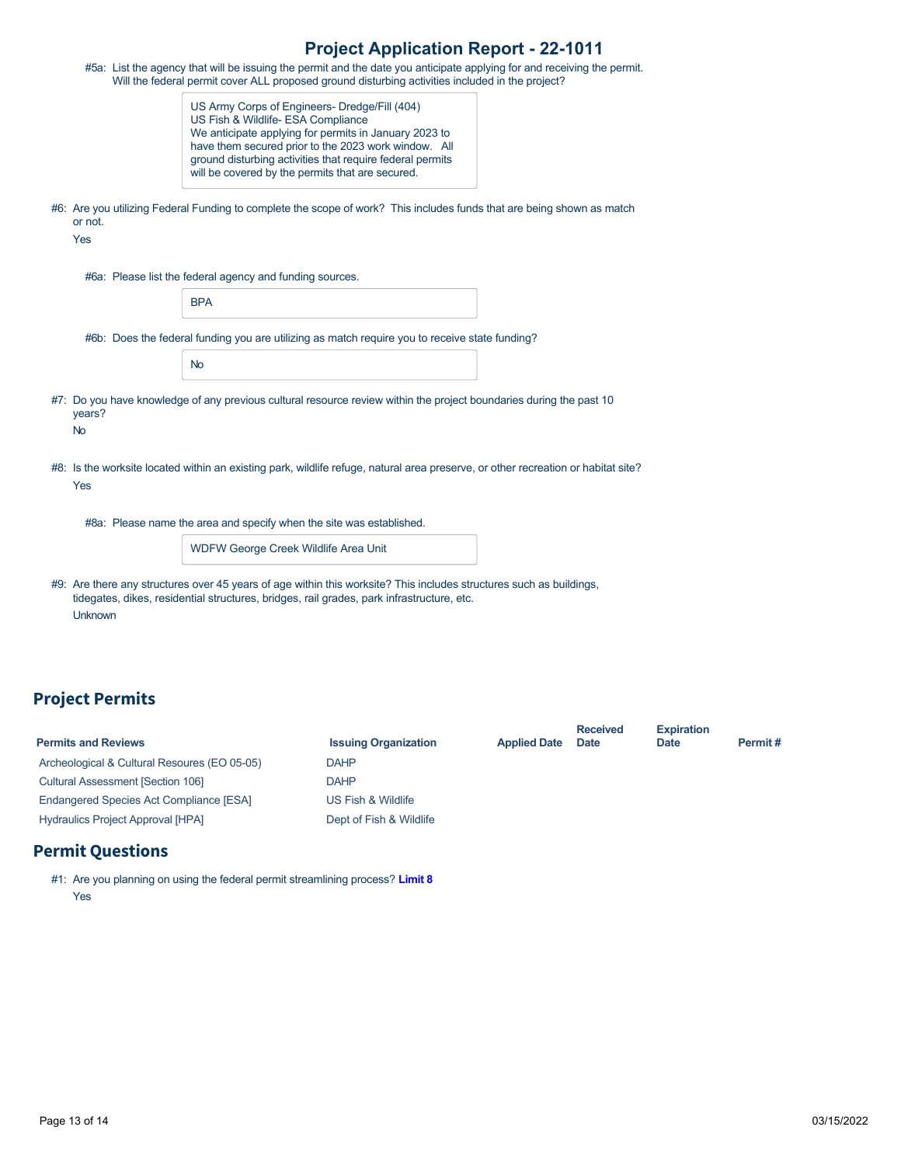| <b>Project Application Report - 22-1011</b> |  |  |
|---------------------------------------------|--|--|
|---------------------------------------------|--|--|

|                | #5a: List the agency that will be issuing the permit and the date you anticipate applying for and receiving the permit.<br>Will the federal permit cover ALL proposed ground disturbing activities included in the project?                                                                                           |
|----------------|-----------------------------------------------------------------------------------------------------------------------------------------------------------------------------------------------------------------------------------------------------------------------------------------------------------------------|
|                | US Army Corps of Engineers- Dredge/Fill (404)<br>US Fish & Wildlife- ESA Compliance<br>We anticipate applying for permits in January 2023 to<br>have them secured prior to the 2023 work window. All<br>ground disturbing activities that require federal permits<br>will be covered by the permits that are secured. |
| or not.<br>Yes | #6: Are you utilizing Federal Funding to complete the scope of work? This includes funds that are being shown as match                                                                                                                                                                                                |
|                | #6a: Please list the federal agency and funding sources.                                                                                                                                                                                                                                                              |
|                | <b>BPA</b>                                                                                                                                                                                                                                                                                                            |
|                | #6b: Does the federal funding you are utilizing as match require you to receive state funding?                                                                                                                                                                                                                        |
|                | <b>No</b>                                                                                                                                                                                                                                                                                                             |
| years?         | #7: Do you have knowledge of any previous cultural resource review within the project boundaries during the past 10                                                                                                                                                                                                   |
| <b>No</b>      |                                                                                                                                                                                                                                                                                                                       |
| Yes            | #8: Is the worksite located within an existing park, wildlife refuge, natural area preserve, or other recreation or habitat site?                                                                                                                                                                                     |
|                | #8a: Please name the area and specify when the site was established.                                                                                                                                                                                                                                                  |
|                | WDFW George Creek Wildlife Area Unit                                                                                                                                                                                                                                                                                  |
| <b>Unknown</b> | #9: Are there any structures over 45 years of age within this worksite? This includes structures such as buildings,<br>tidegates, dikes, residential structures, bridges, rail grades, park infrastructure, etc.                                                                                                      |

# **Project Permits**

| <b>Permits and Reviews</b>                   | <b>Issuing Organization</b> | <b>Applied Date</b> | <b>Received</b><br><b>Date</b> | <b>Expiration</b><br><b>Date</b> | Permit# |
|----------------------------------------------|-----------------------------|---------------------|--------------------------------|----------------------------------|---------|
| Archeological & Cultural Resoures (EO 05-05) | <b>DAHP</b>                 |                     |                                |                                  |         |
| <b>Cultural Assessment [Section 106]</b>     | <b>DAHP</b>                 |                     |                                |                                  |         |
| Endangered Species Act Compliance [ESA]      | US Fish & Wildlife          |                     |                                |                                  |         |
| <b>Hydraulics Project Approval [HPA]</b>     | Dept of Fish & Wildlife     |                     |                                |                                  |         |

# **Permit Questions**

#1: Are you planning on using the federal permit streamlining process? **[Limit 8](https://rco.wa.gov/wp-content/uploads/2019/10/SAL-PermitStreamFactSheet.pdf)** Yes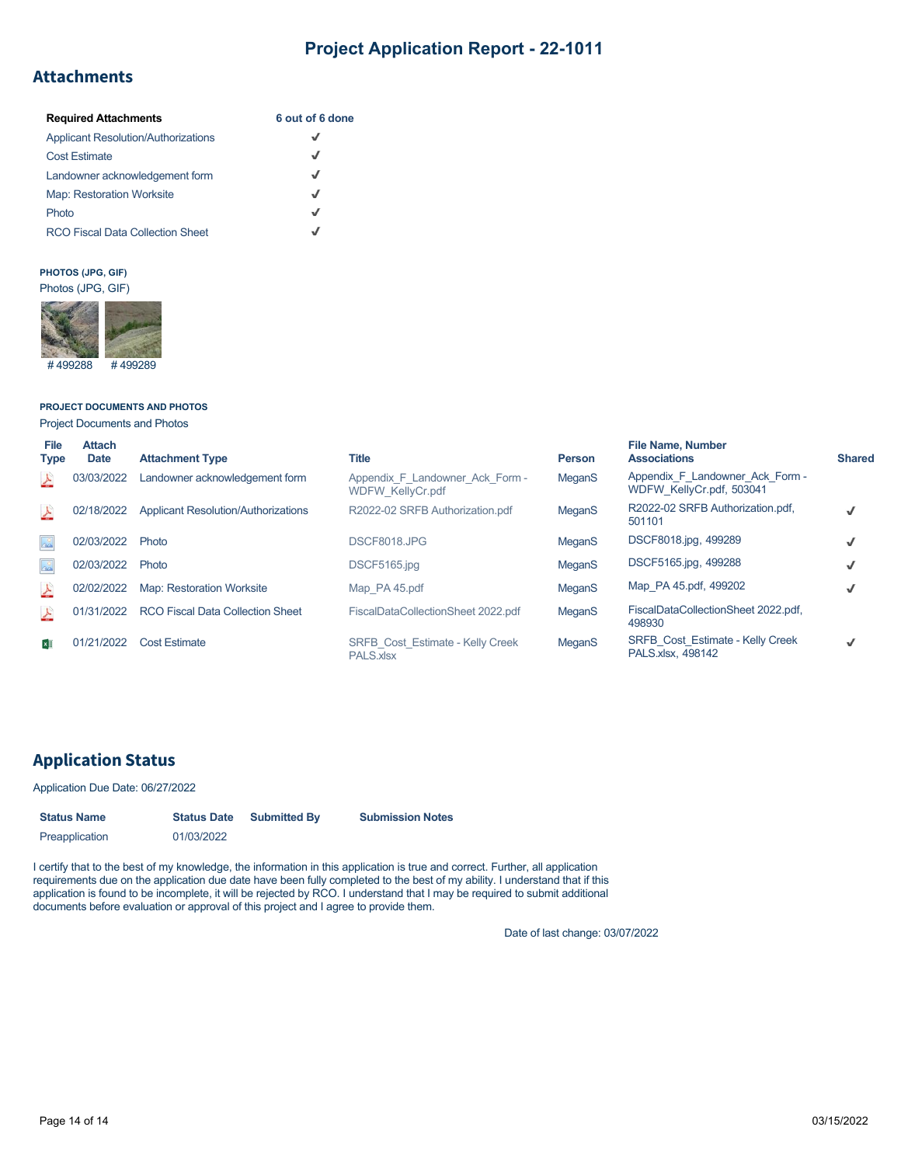# **Attachments**

| <b>Required Attachments</b>                | 6 out of 6 done |
|--------------------------------------------|-----------------|
| <b>Applicant Resolution/Authorizations</b> | J               |
| <b>Cost Estimate</b>                       | √               |
| Landowner acknowledgement form             | J               |
| <b>Map: Restoration Worksite</b>           | J               |
| Photo                                      | J               |
| <b>RCO Fiscal Data Collection Sheet</b>    |                 |

## **PHOTOS (JPG, GIF)**



## **PROJECT DOCUMENTS AND PHOTOS**

Project Documents and Photos

| <b>File</b><br><b>Type</b> | <b>Attach</b><br><b>Date</b> | <b>Attachment Type</b>                     | <b>Title</b>                                               | <b>Person</b> | <b>File Name, Number</b><br><b>Associations</b>              | <b>Shared</b> |
|----------------------------|------------------------------|--------------------------------------------|------------------------------------------------------------|---------------|--------------------------------------------------------------|---------------|
| 스                          | 03/03/2022                   | Landowner acknowledgement form             | Appendix F Landowner Ack Form -<br><b>WDFW KellyCr.pdf</b> | MeganS        | Appendix F Landowner Ack Form -<br>WDFW KellyCr.pdf, 503041  |               |
| 스                          | 02/18/2022                   | <b>Applicant Resolution/Authorizations</b> | R2022-02 SRFB Authorization.pdf                            | MeganS        | R2022-02 SRFB Authorization.pdf,<br>501101                   |               |
| $\Delta^{\circ}$           | 02/03/2022                   | Photo                                      | DSCF8018.JPG                                               | MeganS        | DSCF8018.jpg, 499289                                         |               |
| $\Delta^0$                 | 02/03/2022                   | Photo                                      | DSCF5165.jpg                                               | MeganS        | DSCF5165.jpg, 499288                                         |               |
| 스                          | 02/02/2022                   | Map: Restoration Worksite                  | Map PA 45.pdf                                              | MeganS        | Map PA 45.pdf, 499202                                        | √             |
| <b>A</b>                   | 01/31/2022                   | <b>RCO Fiscal Data Collection Sheet</b>    | FiscalDataCollectionSheet 2022.pdf                         | MeganS        | FiscalDataCollectionSheet 2022.pdf,<br>498930                |               |
| $x \overline{y}$           | 01/21/2022                   | <b>Cost Estimate</b>                       | <b>SRFB Cost Estimate - Kelly Creek</b><br>PALS.xlsx       | MeganS        | <b>SRFB Cost Estimate - Kelly Creek</b><br>PALS.xlsx. 498142 |               |

# **Application Status**

## Application Due Date: 06/27/2022

| <b>Status Name</b> | <b>Status Date</b> | <b>Submitted By</b> | <b>Submission Notes</b> |
|--------------------|--------------------|---------------------|-------------------------|
| Preapplication     | 01/03/2022         |                     |                         |

I certify that to the best of my knowledge, the information in this application is true and correct. Further, all application requirements due on the application due date have been fully completed to the best of my ability. I understand that if this application is found to be incomplete, it will be rejected by RCO. I understand that I may be required to submit additional documents before evaluation or approval of this project and I agree to provide them.

Date of last change: 03/07/2022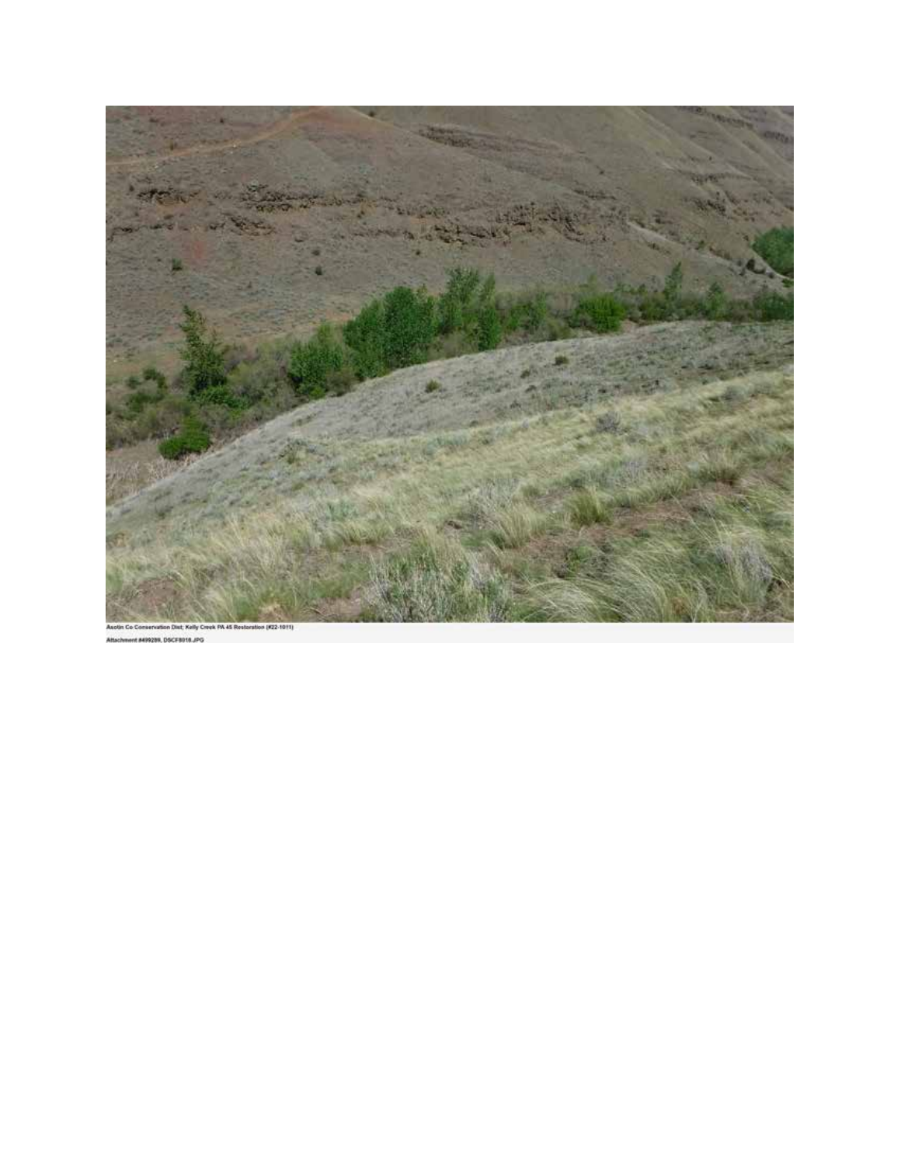

MIROZON, DSCFB018,JPG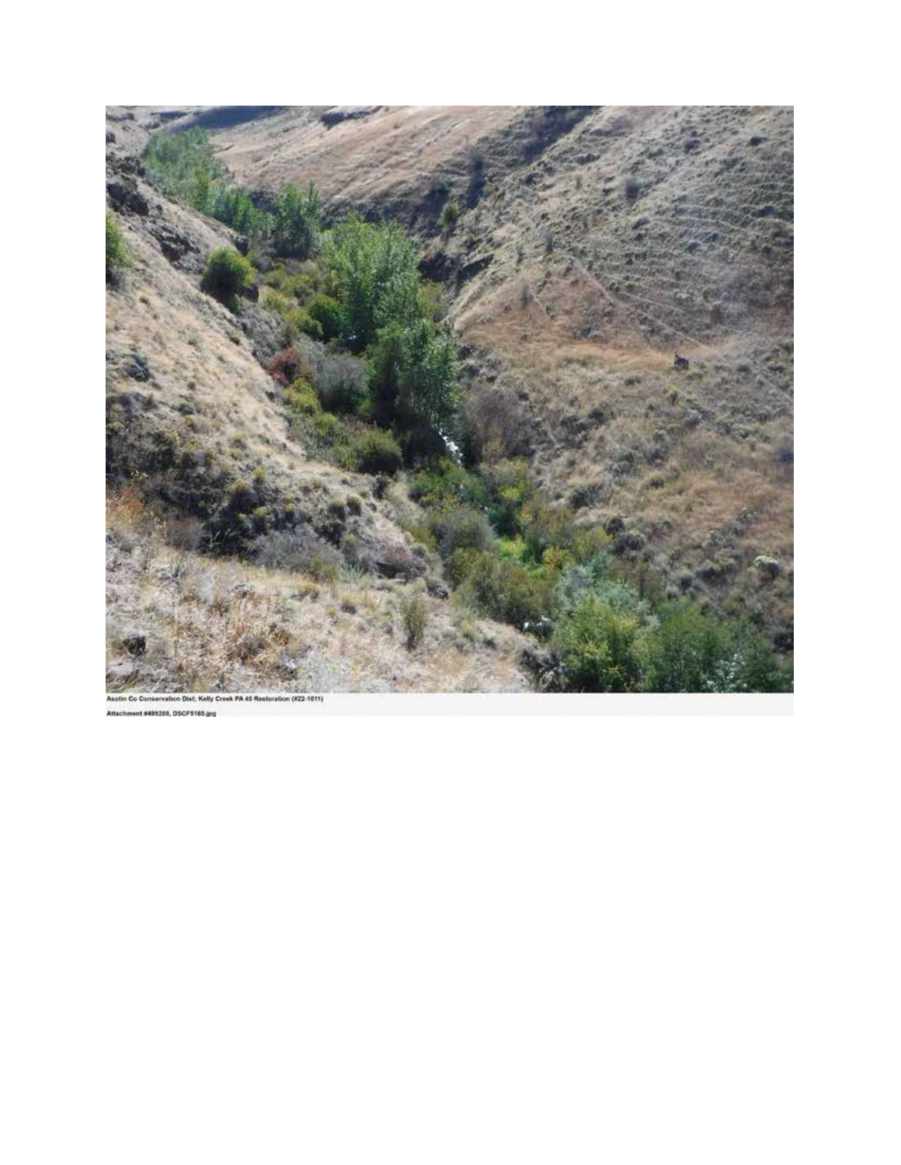

n Dist; Kelly Creek PA 45 Restoration (#22-1011) Co Conserva Attachment #499288, DSCF5165.jpg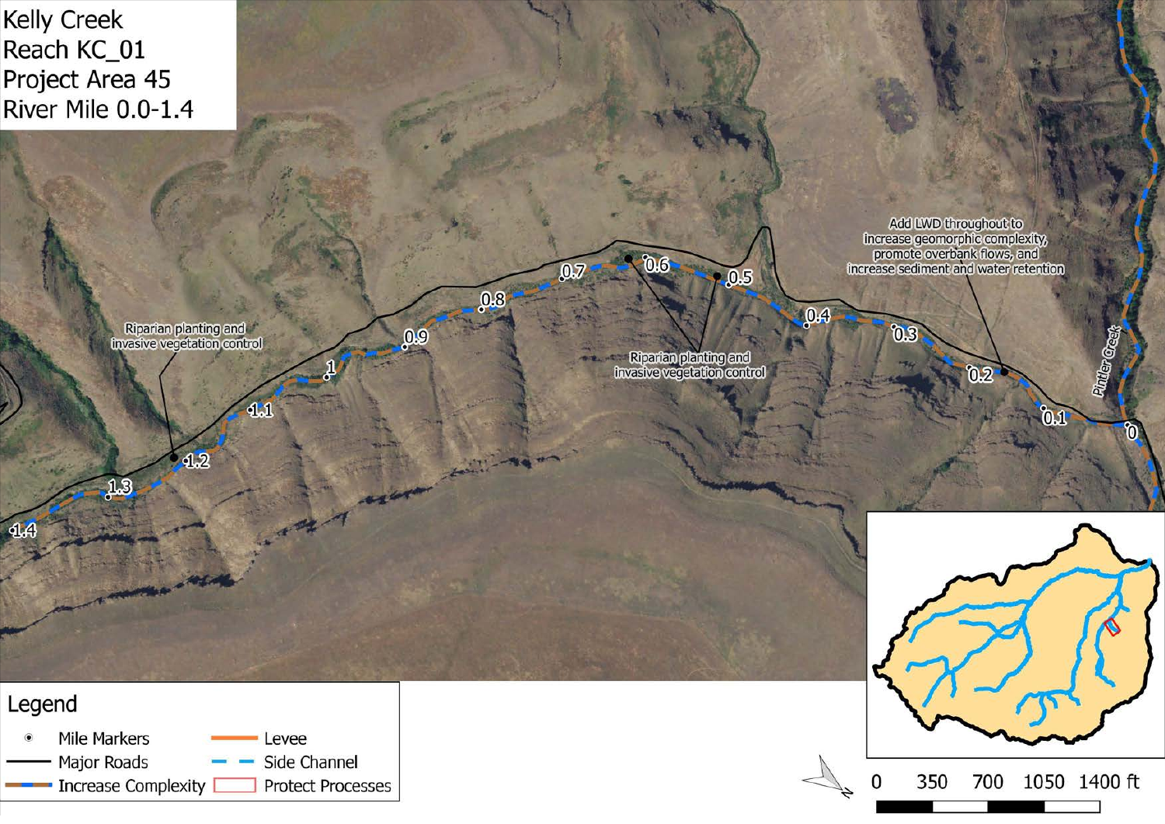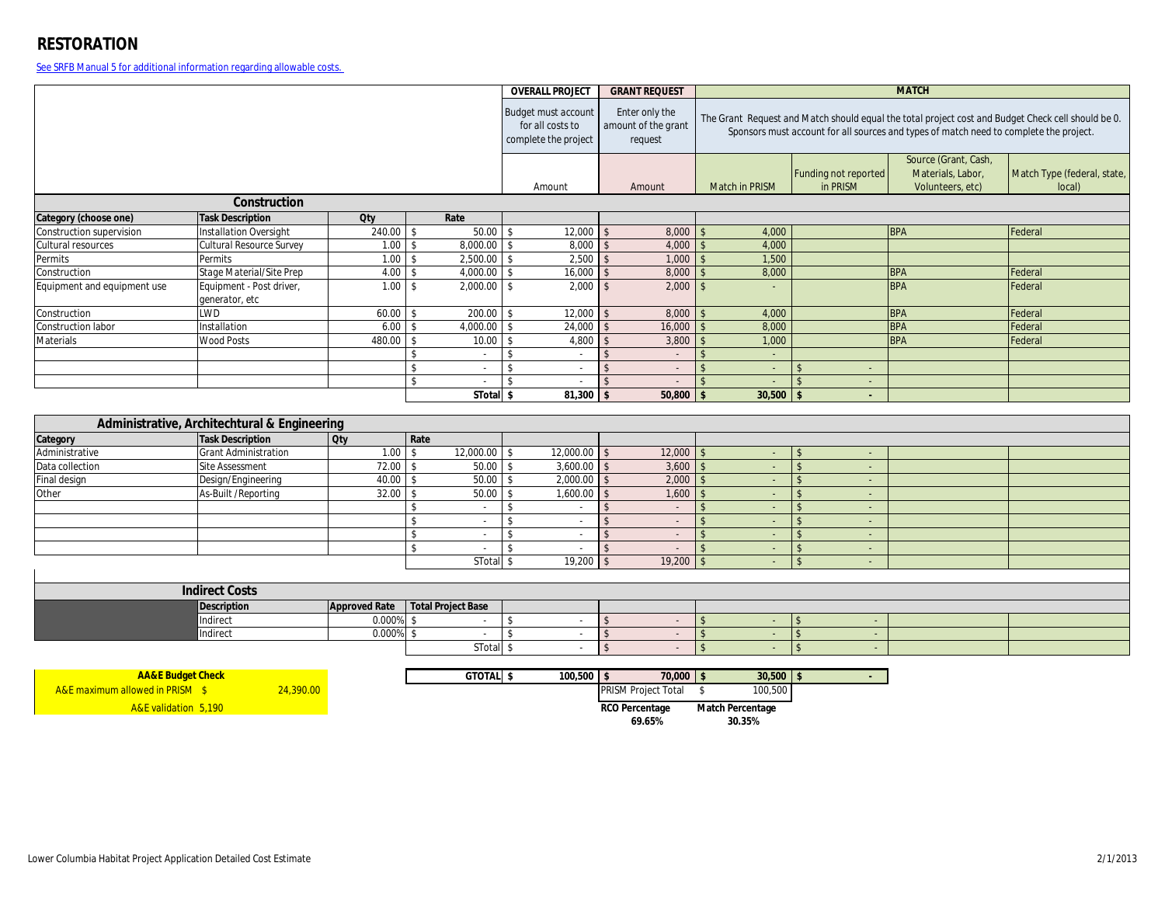## **RESTORATION**

See SRFB Manual 5 for additional information regarding allowable costs.

|                             |                                              |                      |                                 | <b>OVERALL PROJECT</b>                                                 | <b>GRANT REQUEST</b>                             | <b>MATCH</b>           |                                                                                                                                                                                              |                      |                             |
|-----------------------------|----------------------------------------------|----------------------|---------------------------------|------------------------------------------------------------------------|--------------------------------------------------|------------------------|----------------------------------------------------------------------------------------------------------------------------------------------------------------------------------------------|----------------------|-----------------------------|
|                             |                                              |                      |                                 | <b>Budget must account</b><br>for all costs to<br>complete the project | Enter only the<br>amount of the grant<br>request |                        | The Grant Request and Match should equal the total project cost and Budget Check cell should be 0.<br>Sponsors must account for all sources and types of match need to complete the project. |                      |                             |
|                             |                                              |                      |                                 |                                                                        |                                                  |                        |                                                                                                                                                                                              | Source (Grant, Cash, |                             |
|                             |                                              |                      |                                 | Amount                                                                 |                                                  | Match in PRISM         | Funding not reported<br>in PRISM                                                                                                                                                             | Materials, Labor,    | Match Type (federal, state, |
|                             | Construction                                 |                      |                                 |                                                                        | Amount                                           |                        |                                                                                                                                                                                              | Volunteers, etc)     | local)                      |
| Category (choose one)       | <b>Task Description</b>                      | <b>Qty</b>           | Rate                            |                                                                        |                                                  |                        |                                                                                                                                                                                              |                      |                             |
| Construction supervision    | <b>Installation Oversight</b>                | 240.00               | 50.00<br>\$                     | 12,000                                                                 | 8.000                                            | 4,000                  |                                                                                                                                                                                              | <b>BPA</b>           | Federal                     |
| Cultural resources          | Cultural Resource Survey                     | $1.00$ \$            | 8,000.00 \$                     | 8,000                                                                  | 4,000<br>$\mathsf{\$}$                           | 4,000<br>$\mathcal{S}$ |                                                                                                                                                                                              |                      |                             |
| Permits                     | Permits                                      | 1.00                 | 2,500.00<br>$\mathbf{\hat{S}}$  | 2,500<br>$\sqrt[6]{\frac{1}{2}}$                                       | 1,000<br>$\mathcal{S}$                           | 1,500                  |                                                                                                                                                                                              |                      |                             |
| Construction                | Stage Material/Site Prep                     | 4.00                 | 4,000.00<br>$\mathbf{\hat{S}}$  | 16,000<br>$\mathbf{\hat{s}}$                                           | 8,000                                            | 8,000                  |                                                                                                                                                                                              | <b>BPA</b>           | Federal                     |
| Equipment and equipment use | Equipment - Post driver,<br>generator, etc   | 1.00                 | $\mathsf{\$}$<br>$2,000.00$ \$  | 2,000                                                                  | 2,000<br>$\sqrt{3}$                              |                        |                                                                                                                                                                                              | <b>BPA</b>           | Federal                     |
| Construction                | <b>LWD</b>                                   | 60.00                | 200.00<br>$\mathsf{\$}$         | 12,000<br>$\mathsf{\$}$                                                | 8,000<br>$\mathcal{L}$                           | 4,000                  |                                                                                                                                                                                              | <b>BPA</b>           | Federal                     |
| Construction labor          | Installation                                 | 6.00                 | 4,000.00<br>$\mathbf{\hat{S}}$  | 24,000<br>$\mathbf{\hat{S}}$                                           | 16,000<br>$\mathcal{S}$                          | 8,000                  |                                                                                                                                                                                              | <b>BPA</b>           | Federal                     |
| Materials                   | Wood Posts                                   | 480.00               | 10.00<br>\$                     | 4,800<br>\$                                                            | 3,800<br>$\mathcal{S}$                           | 1,000                  |                                                                                                                                                                                              | <b>BPA</b>           | Federal                     |
|                             |                                              |                      | $\mathbb{S}$<br>$\sim$          | $\mathbf{\hat{S}}$<br>$\sim$                                           | $\mathbf{\hat{S}}$<br>$\sim$                     | $\sim$                 |                                                                                                                                                                                              |                      |                             |
|                             |                                              |                      | \$                              | \$<br>$\overline{\phantom{a}}$                                         | $\mathbf{\hat{S}}$<br>$\sim$                     | $\sim$                 | - ፍ<br>$\sim$                                                                                                                                                                                |                      |                             |
|                             |                                              |                      | \$<br>$\sim$                    | $\mathbf{\hat{S}}$<br>$\sim$                                           | $\mathbf{\hat{S}}$<br>$\sim$                     | $\mathcal{L}$          | $\mathbf{\hat{s}}$<br>$\sim$                                                                                                                                                                 |                      |                             |
|                             |                                              |                      | STotal \$                       | 81,300                                                                 | 50,800<br>$\mathbf{\hat{S}}$                     | 30,500                 | $\mathbf{s}$<br>÷.                                                                                                                                                                           |                      |                             |
|                             | Administrative, Architechtural & Engineering |                      |                                 |                                                                        |                                                  |                        |                                                                                                                                                                                              |                      |                             |
| Category                    | <b>Task Description</b>                      | <b>Qty</b>           | Rate                            |                                                                        |                                                  |                        |                                                                                                                                                                                              |                      |                             |
| Administrative              | <b>Grant Administration</b>                  | 1.00                 | 12,000.00<br>$\mathbf{\hat{S}}$ | 12,000.00                                                              | 12,000<br>$\mathsf{\$}$                          |                        | ÷.                                                                                                                                                                                           |                      |                             |
| Data collection             | <b>Site Assessment</b>                       | 72.00                | 50.00<br>$\mathbf{\hat{S}}$     | 3,600.00<br>$\mathsf{\$}$                                              | 3,600<br>$\sqrt{3}$                              | $\sim$                 | $\mathbf{\hat{s}}$<br>$\omega_{\rm c}$                                                                                                                                                       |                      |                             |
| Final design                | Design/Engineering                           | 40.00                | \$<br>50.00                     | 2,000.00<br>$\mathsf{\$}$                                              | 2,000<br>$\mathbf{\hat{S}}$                      |                        | $\mathcal{S}$<br>$\sim$                                                                                                                                                                      |                      |                             |
| Other                       | As-Built /Reporting                          | 32.00                | 50.00<br>$\mathbf{\hat{S}}$     | 1,600.00                                                               | 1,600<br>$\mathbf{\hat{S}}$                      |                        | $\sim$                                                                                                                                                                                       |                      |                             |
|                             |                                              |                      | \$<br>$\sim$                    | $\mathbf{\hat{S}}$<br>$\sim$                                           | $\hat{\mathbf{S}}$<br>$\sim$                     |                        | $\sim$                                                                                                                                                                                       |                      |                             |
|                             |                                              |                      | \$<br>$\sim$                    | $\mathbf{\hat{S}}$<br>$\sim$                                           | $\mathcal{S}$<br>$\sim$                          |                        | $\mathbf{\hat{s}}$<br>$\sim$                                                                                                                                                                 |                      |                             |
|                             |                                              |                      | \$<br>$\overline{\phantom{a}}$  | $\mathbf{\hat{s}}$<br>$\overline{\phantom{a}}$                         | \$<br>$\sim$                                     |                        | $\sim$                                                                                                                                                                                       |                      |                             |
|                             |                                              |                      | \$                              | $\mathbf{\hat{S}}$<br>$\sim$                                           | $\mathbf{\hat{S}}$                               |                        | $\mathcal{S}$<br>÷.                                                                                                                                                                          |                      |                             |
|                             |                                              |                      | STotal \$                       | 19,200                                                                 | 19,200<br>$\sqrt{3}$                             | 5<br>$\sim$            | $\mathbf{\hat{s}}$<br>÷.                                                                                                                                                                     |                      |                             |
|                             |                                              |                      |                                 |                                                                        |                                                  |                        |                                                                                                                                                                                              |                      |                             |
|                             | <b>Indirect Costs</b>                        |                      |                                 |                                                                        |                                                  |                        |                                                                                                                                                                                              |                      |                             |
|                             | <b>Description</b>                           | <b>Approved Rate</b> | <b>Total Project Base</b>       |                                                                        |                                                  |                        |                                                                                                                                                                                              |                      |                             |
|                             | Indirect                                     | 0.000%               | $\mathsf{\$}$<br>$\sim$         | \$<br>$\sim$                                                           | \$<br>$\sim$                                     | $\mathbf{f}$<br>÷.     | $\sqrt{3}$<br>$\sim$                                                                                                                                                                         |                      |                             |
|                             | Indirect                                     | 0.000%               | \$                              | $\mathbf{\hat{S}}$<br>$\overline{\phantom{a}}$                         | $\mathbf{\hat{S}}$<br>$\sim$                     | $\mathbf{f}$           | $\sqrt{3}$<br>$\sim$                                                                                                                                                                         |                      |                             |
|                             |                                              |                      | STotal \$                       | $\overline{\phantom{a}}$                                               | $\mathsf{\$}$<br>$\sim$                          | $\mathbf{S}$           | $\sqrt{5}$<br>$\sim$                                                                                                                                                                         |                      |                             |
|                             |                                              |                      |                                 |                                                                        |                                                  |                        |                                                                                                                                                                                              |                      |                             |
|                             | <b>AA&amp;E Budget Check</b>                 |                      | GTOTAL \$                       | $100,500$ \$                                                           | $70,000$ \$                                      | $30,500$ \$            |                                                                                                                                                                                              |                      |                             |

| <b>AA&amp;E Budget Check</b>               |          | GTOTAL \$ | $100.500$ $\mid$ 9 | 70,000                     | 30,500                  |  |
|--------------------------------------------|----------|-----------|--------------------|----------------------------|-------------------------|--|
| <b>A&amp;E</b> maximum allowed in PRISM \$ | 4,390.00 |           |                    | <b>PRISM Project Total</b> | 100,500                 |  |
| <b>A&amp;E</b> validation 5.190            |          |           |                    | <b>RCO Percentage</b>      | <b>Match Percentage</b> |  |
|                                            |          |           |                    | 69.65%                     | 30.35%                  |  |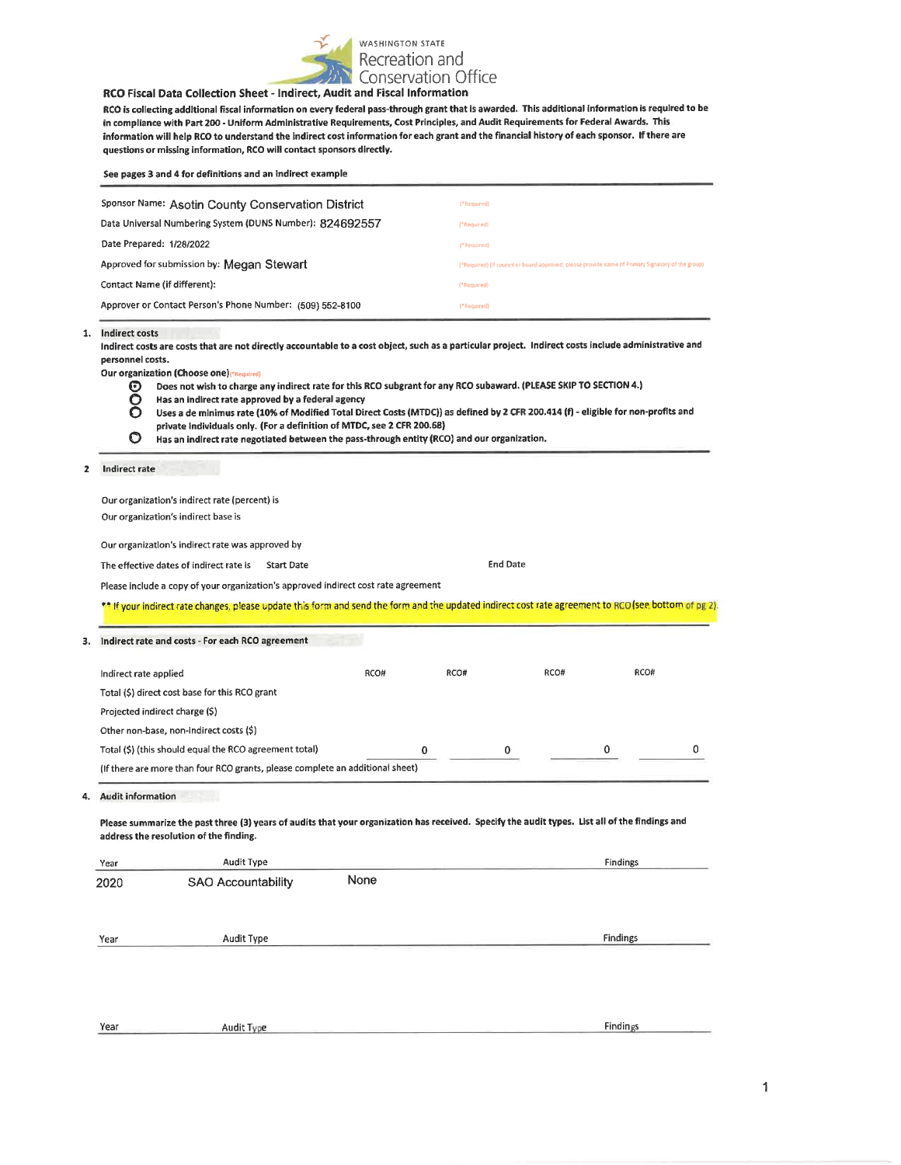

#### RCO Fiscal Data Collection Sheet - Indirect, Audit and Fiscal Information

RCO is collecting additional fiscal information on every federal pass-through grant that is awarded. This additional information is required to be in compliance with Part 200 - Uniform Administrative Requirements, Cost Principles, and Audit Requirements for Federal Awards. This information will help RCO to understand the indirect cost information for each grant and the financial history of each sponsor. If there are questions or missing information, RCO will contact sponsors directly.

| See pages 3 and 4 for definitions and an indirect example |                                                                                                   |
|-----------------------------------------------------------|---------------------------------------------------------------------------------------------------|
| Sponsor Name: Asotin County Conservation District         | ("Required)                                                                                       |
| Data Universal Numbering System (DUNS Number): 824692557  | ("Required)                                                                                       |
| Date Prepared: 1/28/2022                                  | ("Required)                                                                                       |
| Approved for submission by: Megan Stewart                 | (*Required) (If council or board approved, please provide name of Primary Signatory of the group) |
| Contact Name (if different):                              | (*Required)                                                                                       |
| Approver or Contact Person's Phone Number: (509) 552-8100 | ("Required)                                                                                       |

#### 1. Indirect costs

Indirect costs are costs that are not directly accountable to a cost object, such as a particular project. Indirect costs include administrative and personnel costs.

Our organization (Choose one) (\*Required)

- Does not wish to charge any indirect rate for this RCO subgrant for any RCO subaward. (PLEASE SKIP TO SECTION 4.) Θ
- Has an indirect rate approved by a federal agency O
- Ŏ Uses a de minimus rate (10% of Modified Total Direct Costs (MTDC)) as defined by 2 CFR 200.414 (f) - eligible for non-profits and private individuals only. (For a definition of MTDC, see 2 CFR 200.68)
- $\bullet$ Has an indirect rate negotiated between the pass-through entity (RCO) and our organization.

#### Indirect rate  $\overline{2}$

Year

Our organization's indirect rate (percent) is Our organization's indirect base is Our organization's indirect rate was approved by **End Date** The effective dates of indirect rate is Start Date Please include a copy of your organization's approved indirect cost rate agreement \*\* If your indirect rate changes, please update this form and send the form and the updated indirect cost rate agreement to RCO (see bottom of pg 2). 3. Indirect rate and costs - For each RCO agreement RCO# RCO# RCO# RCO# Indirect rate applied Total (\$) direct cost base for this RCO grant Projected indirect charge (\$) Other non-base, non-indirect costs (\$) Total (\$) (this should equal the RCO agreement total)  $\pmb{0}$ 0 0  $\overline{0}$ (If there are more than four RCO grants, please complete an additional sheet) 4. Audit information Please summarize the past three (3) years of audits that your organization has received. Specify the audit types. List all of the findings and address the resolution of the finding. Audit Type Findings Year 2020 SAO Accountability None

Audit Type Year

Audit Type

1

**Findings** 

**Findings**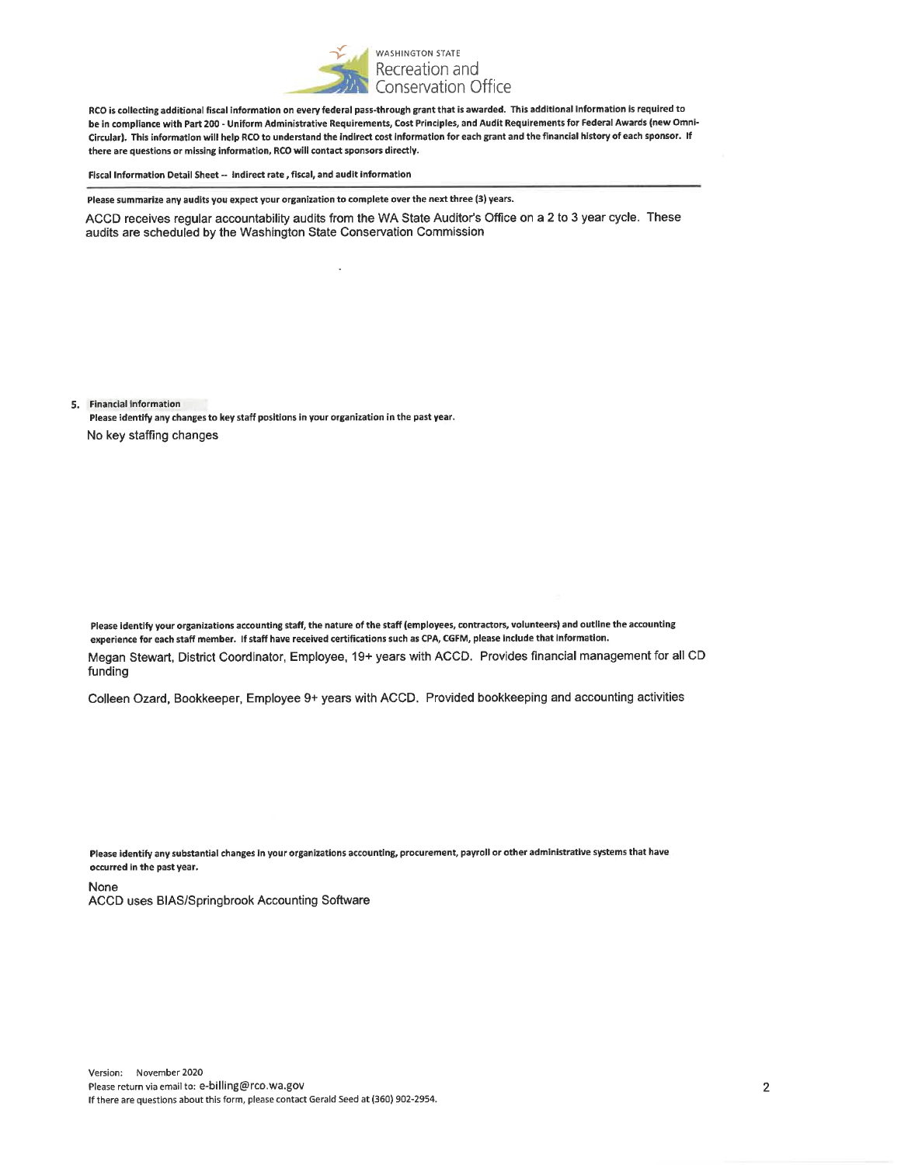

RCO is collecting additional fiscal information on every federal pass-through grant that is awarded. This additional information is required to be in compliance with Part 200 - Uniform Administrative Requirements, Cost Principles, and Audit Requirements for Federal Awards (new Omni-Circular). This information will help RCO to understand the indirect cost information for each grant and the financial history of each sponsor. If there are questions or missing information, RCO will contact sponsors directly.

Fiscal Information Detail Sheet -- Indirect rate, fiscal, and audit information

Please summarize any audits you expect your organization to complete over the next three (3) years.

ACCD receives regular accountability audits from the WA State Auditor's Office on a 2 to 3 year cycle. These audits are scheduled by the Washington State Conservation Commission

5. Financial information

Please identify any changes to key staff positions in your organization in the past year. No key staffing changes

Please identify your organizations accounting staff, the nature of the staff (employees, contractors, volunteers) and outline the accounting experience for each staff member. If staff have received certifications such as CPA, CGFM, please include that information. Megan Stewart, District Coordinator, Employee, 19+ years with ACCD. Provides financial management for all CD funding

Colleen Ozard, Bookkeeper, Employee 9+ years with ACCD. Provided bookkeeping and accounting activities

Please identify any substantial changes in your organizations accounting, procurement, payroll or other administrative systems that have occurred in the past year.

**None** ACCD uses BIAS/Springbrook Accounting Software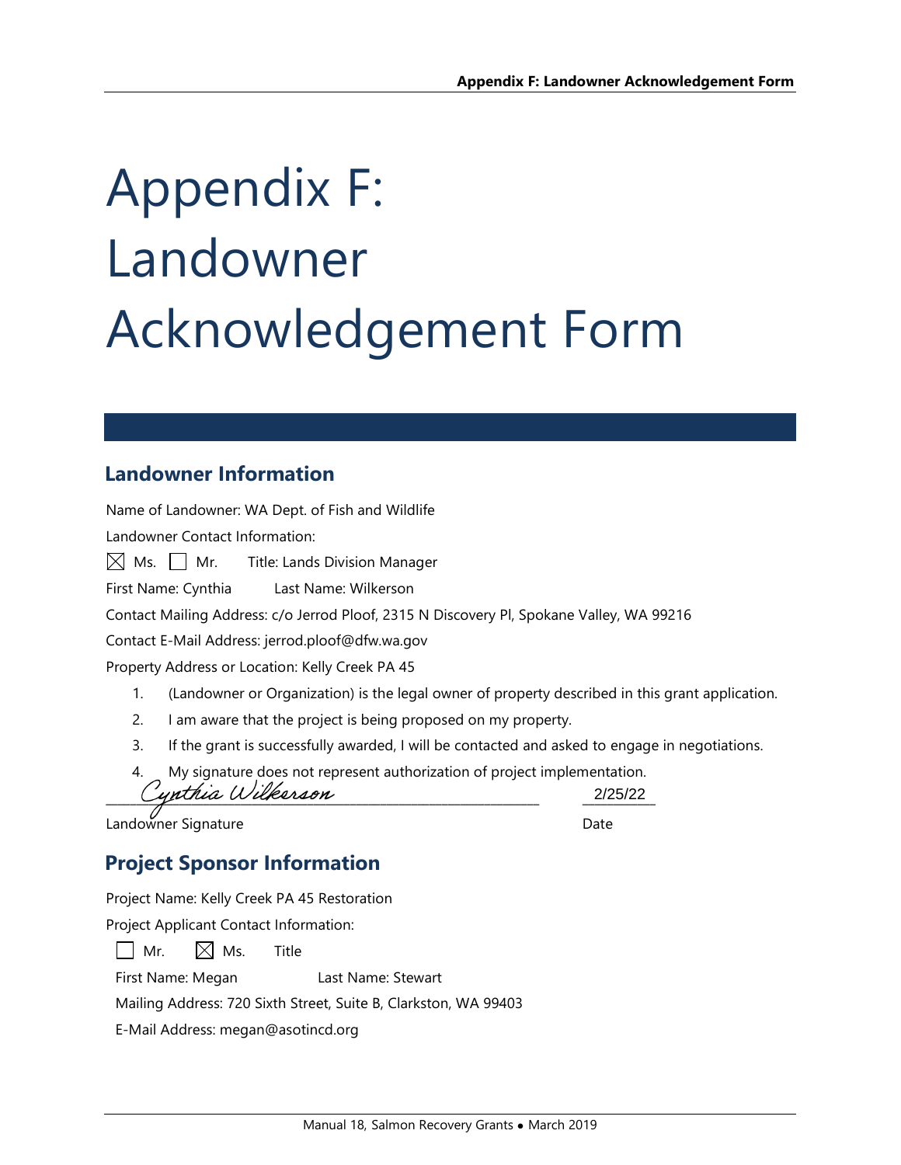# Appendix F: Landowner Acknowledgement Form

# **Landowner Information**

Name of Landowner: WA Dept. of Fish and Wildlife

Landowner Contact Information:

 $\boxtimes$  Ms.  $\Box$  Mr. Title: Lands Division Manager

First Name: Cynthia Last Name: Wilkerson

Contact Mailing Address: c/o Jerrod Ploof, 2315 N Discovery Pl, Spokane Valley, WA 99216

Contact E-Mail Address: jerrod.ploof@dfw.wa.gov

Property Address or Location: Kelly Creek PA 45

- 1. (Landowner or Organization) is the legal owner of property described in this grant application.
- 2. I am aware that the project is being proposed on my property.
- 3. If the grant is successfully awarded, I will be contacted and asked to engage in negotiations.

4. My signature does not represent authorization of project implementation. Cynthia Wilkerson 2/25/22

Landowner Signature **Date** 

# **Project Sponsor Information**

Project Name: Kelly Creek PA 45 Restoration

Project Applicant Contact Information:

 $\Box$  Mr.  $\Box$  Ms. Title

First Name: Megan Last Name: Stewart

Mailing Address: 720 Sixth Street, Suite B, Clarkston, WA 99403

E-Mail Address: megan@asotincd.org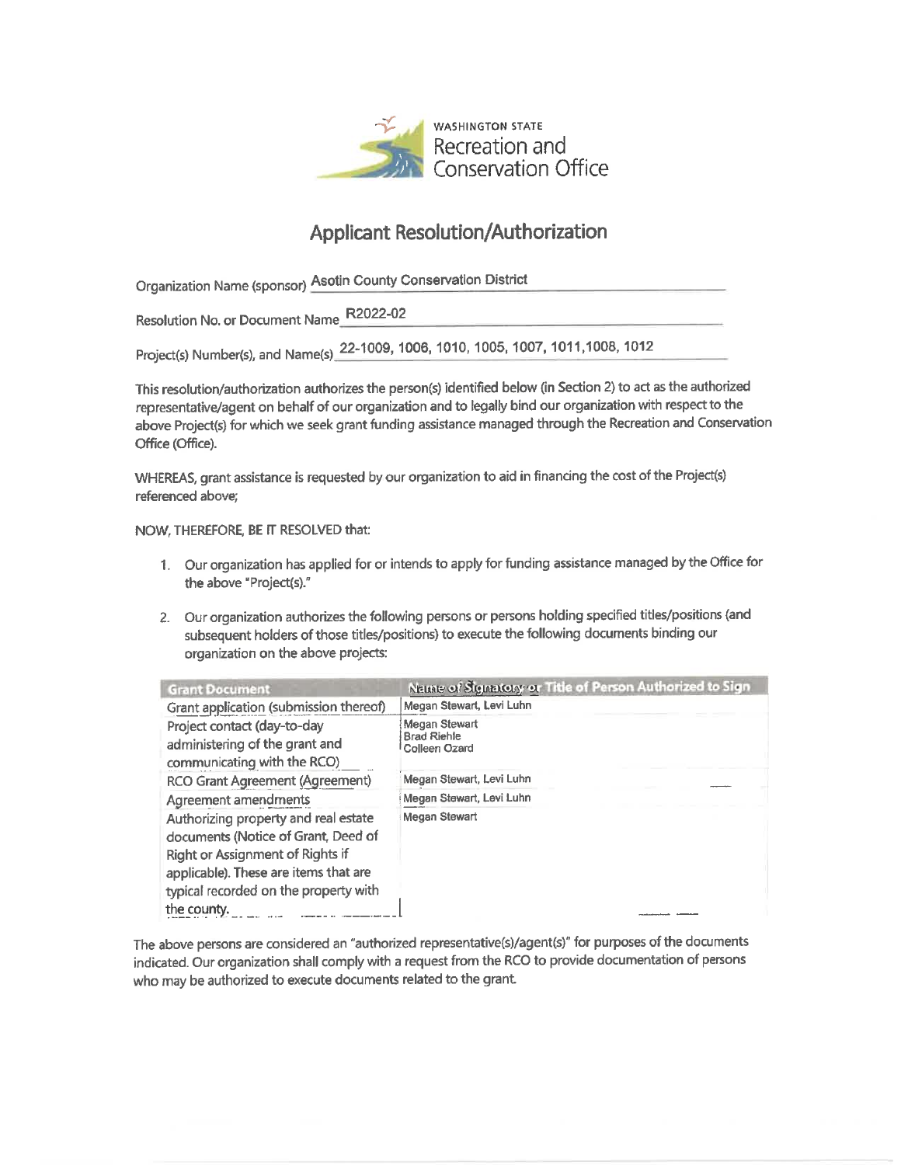

# **Applicant Resolution/Authorization**

Organization Name (sponsor) Asotin County Conservation District

Resolution No. or Document Name\_R2022-02

Project(s) Number(s), and Name(s) 22-1009, 1006, 1010, 1005, 1007, 1011, 1008, 1012

This resolution/authorization authorizes the person(s) identified below (in Section 2) to act as the authorized representative/agent on behalf of our organization and to legally bind our organization with respect to the above Project(s) for which we seek grant funding assistance managed through the Recreation and Conservation Office (Office).

WHEREAS, grant assistance is requested by our organization to aid in financing the cost of the Project(s) referenced above;

## NOW, THEREFORE, BE IT RESOLVED that:

- 1. Our organization has applied for or intends to apply for funding assistance managed by the Office for the above "Project(s)."
- 2. Our organization authorizes the following persons or persons holding specified titles/positions (and subsequent holders of those titles/positions) to execute the following documents binding our organization on the above projects:

| <b>Grant Document</b>                                                                                                                                                                             | Name of Signatory or Title of Person Authorized to Sign     |
|---------------------------------------------------------------------------------------------------------------------------------------------------------------------------------------------------|-------------------------------------------------------------|
| Grant application (submission thereof)                                                                                                                                                            | Megan Stewart, Levi Luhn                                    |
| Project contact (day-to-day<br>administering of the grant and<br>communicating with the RCO)                                                                                                      | <b>Megan Stewart</b><br><b>Brad Riehle</b><br>Colleen Ozard |
| RCO Grant Agreement (Agreement)                                                                                                                                                                   | Megan Stewart, Levi Luhn                                    |
| Agreement amendments                                                                                                                                                                              | Megan Stewart, Levi Luhn                                    |
| Authorizing property and real estate<br>documents (Notice of Grant, Deed of<br>Right or Assignment of Rights if<br>applicable). These are items that are<br>typical recorded on the property with | Megan Stewart                                               |
| the county.                                                                                                                                                                                       |                                                             |

The above persons are considered an "authorized representative(s)/agent(s)" for purposes of the documents indicated. Our organization shall comply with a request from the RCO to provide documentation of persons who may be authorized to execute documents related to the grant.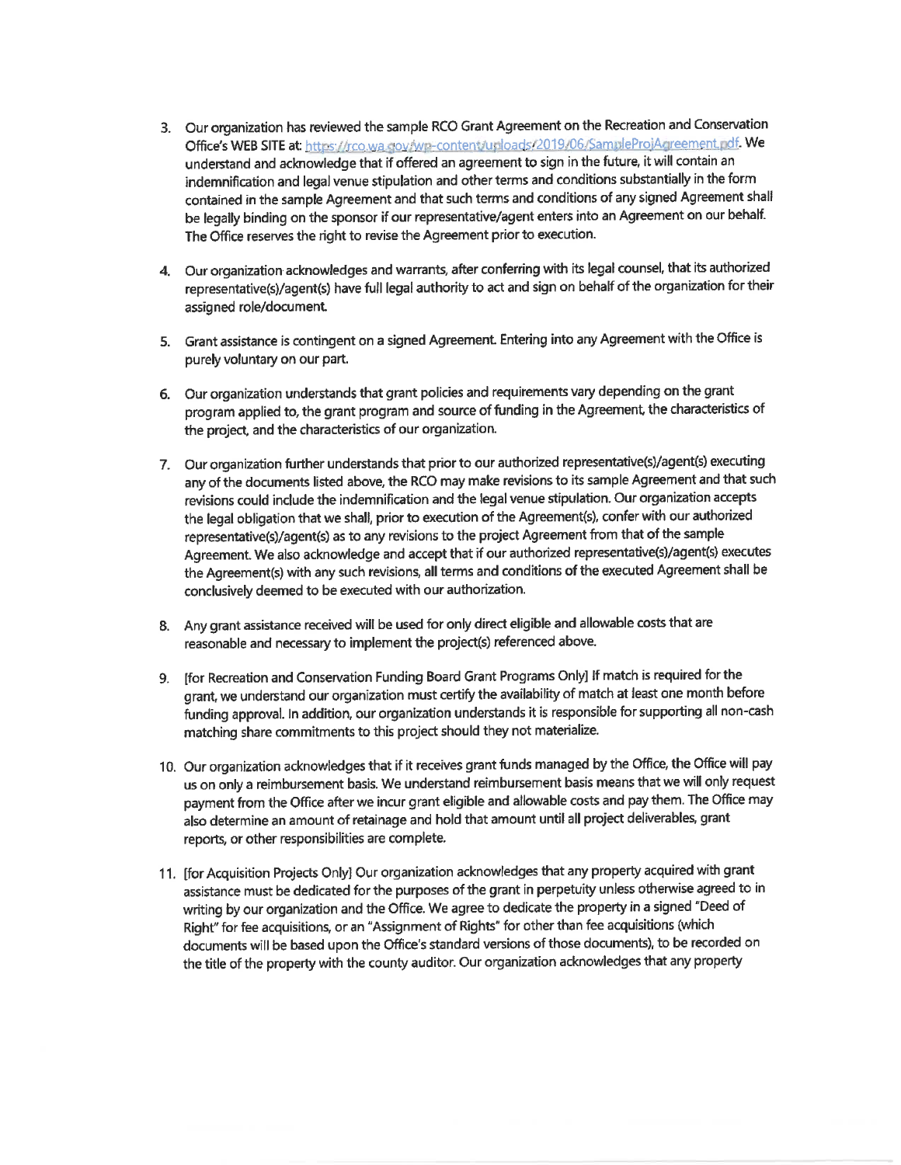- 3. Our organization has reviewed the sample RCO Grant Agreement on the Recreation and Conservation Office's WEB SITE at: https://rco.wa.gov/wp-content/uploads/2019/06/SampleProiAgreement.odf. We understand and acknowledge that if offered an agreement to sign in the future, it will contain an indemnification and legal venue stipulation and other terms and conditions substantially in the form contained in the sample Agreement and that such terms and conditions of any signed Agreement shall be legally binding on the sponsor if our representative/agent enters into an Agreement on our behalf. The Office reserves the right to revise the Agreement prior to execution.
- 4. Our organization acknowledges and warrants, after conferring with its legal counsel, that its authorized representative(s)/agent(s) have full legal authority to act and sign on behalf of the organization for their assigned role/document.
- 5. Grant assistance is contingent on a signed Agreement. Entering into any Agreement with the Office is purely voluntary on our part.
- 6. Our organization understands that grant policies and requirements vary depending on the grant program applied to, the grant program and source of funding in the Agreement, the characteristics of the project, and the characteristics of our organization.
- 7. Our organization further understands that prior to our authorized representative(s)/agent(s) executing any of the documents listed above, the RCO may make revisions to its sample Agreement and that such revisions could include the indemnification and the legal venue stipulation. Our organization accepts the legal obligation that we shall, prior to execution of the Agreement(s), confer with our authorized representative(s)/agent(s) as to any revisions to the project Agreement from that of the sample Agreement. We also acknowledge and accept that if our authorized representative(s)/agent(s) executes the Agreement(s) with any such revisions, all terms and conditions of the executed Agreement shall be conclusively deemed to be executed with our authorization.
- 8. Any grant assistance received will be used for only direct eligible and allowable costs that are reasonable and necessary to implement the project(s) referenced above.
- 9. [for Recreation and Conservation Funding Board Grant Programs Only] If match is required for the grant, we understand our organization must certify the availability of match at least one month before funding approval. In addition, our organization understands it is responsible for supporting all non-cash matching share commitments to this project should they not materialize.
- 10. Our organization acknowledges that if it receives grant funds managed by the Office, the Office will pay us on only a reimbursement basis. We understand reimbursement basis means that we will only request payment from the Office after we incur grant eligible and allowable costs and pay them. The Office may also determine an amount of retainage and hold that amount until all project deliverables, grant reports, or other responsibilities are complete.
- 11. [for Acquisition Projects Only] Our organization acknowledges that any property acquired with grant assistance must be dedicated for the purposes of the grant in perpetuity unless otherwise agreed to in writing by our organization and the Office. We agree to dedicate the property in a signed "Deed of Right" for fee acquisitions, or an "Assignment of Rights" for other than fee acquisitions (which documents will be based upon the Office's standard versions of those documents), to be recorded on the title of the property with the county auditor. Our organization acknowledges that any property